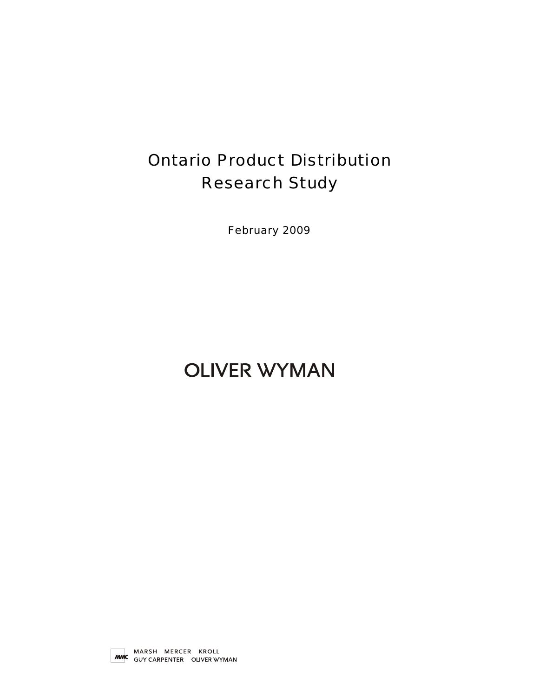# Ontario Product Distribution Research Study

February 2009

# **OLIVER WYMAN**

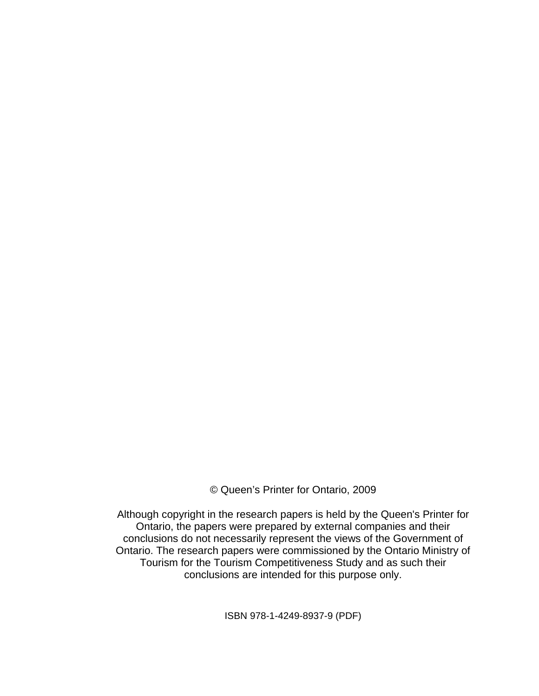© Queen's Printer for Ontario, 2009

Although copyright in the research papers is held by the Queen's Printer for Ontario, the papers were prepared by external companies and their conclusions do not necessarily represent the views of the Government of Ontario. The research papers were commissioned by the Ontario Ministry of Tourism for the Tourism Competitiveness Study and as such their conclusions are intended for this purpose only.

ISBN 978-1-4249-8937-9 (PDF)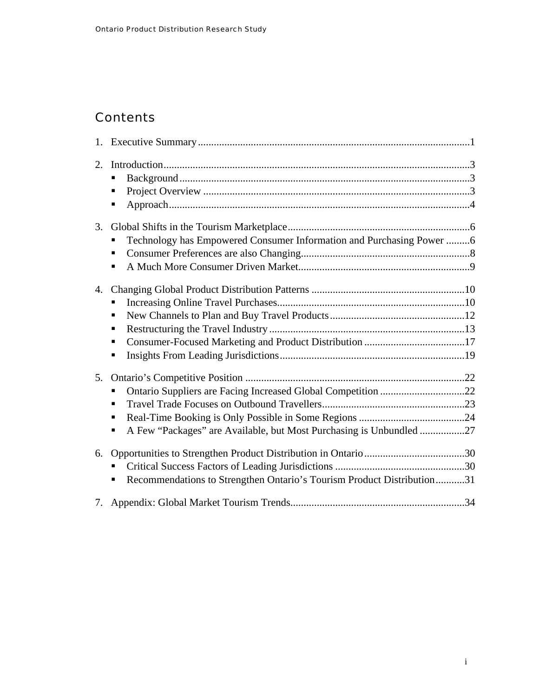### **Contents**

| 2. | п<br>П<br>п                                                                        |  |
|----|------------------------------------------------------------------------------------|--|
| 3. | Technology has Empowered Consumer Information and Purchasing Power 6<br>п<br>П     |  |
| 4. | п<br>П<br>П<br>п<br>п                                                              |  |
| 5. | ٠<br>٠<br>A Few "Packages" are Available, but Most Purchasing is Unbundled 27<br>п |  |
| 6. | Recommendations to Strengthen Ontario's Tourism Product Distribution31<br>п        |  |
|    |                                                                                    |  |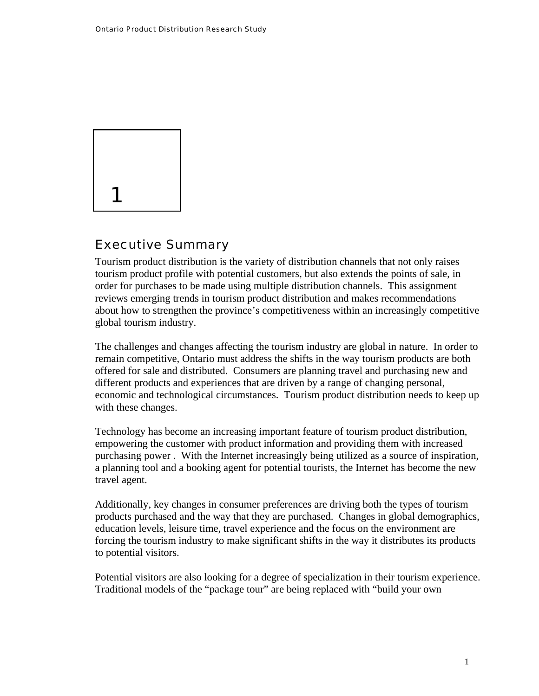<span id="page-3-0"></span>

#### Executive Summary

Tourism product distribution is the variety of distribution channels that not only raises tourism product profile with potential customers, but also extends the points of sale, in order for purchases to be made using multiple distribution channels. This assignment reviews emerging trends in tourism product distribution and makes recommendations about how to strengthen the province's competitiveness within an increasingly competitive global tourism industry.

The challenges and changes affecting the tourism industry are global in nature. In order to remain competitive, Ontario must address the shifts in the way tourism products are both offered for sale and distributed. Consumers are planning travel and purchasing new and different products and experiences that are driven by a range of changing personal, economic and technological circumstances. Tourism product distribution needs to keep up with these changes.

Technology has become an increasing important feature of tourism product distribution, empowering the customer with product information and providing them with increased purchasing power . With the Internet increasingly being utilized as a source of inspiration, a planning tool and a booking agent for potential tourists, the Internet has become the new travel agent.

Additionally, key changes in consumer preferences are driving both the types of tourism products purchased and the way that they are purchased. Changes in global demographics, education levels, leisure time, travel experience and the focus on the environment are forcing the tourism industry to make significant shifts in the way it distributes its products to potential visitors.

Potential visitors are also looking for a degree of specialization in their tourism experience. Traditional models of the "package tour" are being replaced with "build your own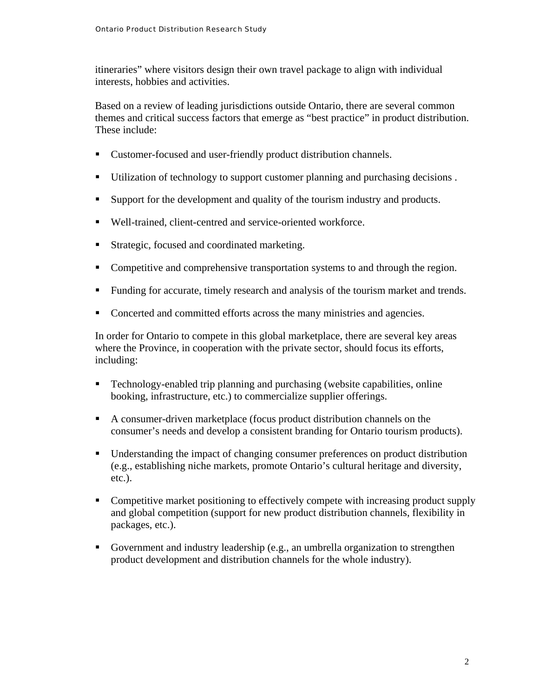itineraries" where visitors design their own travel package to align with individual interests, hobbies and activities.

Based on a review of leading jurisdictions outside Ontario, there are several common themes and critical success factors that emerge as "best practice" in product distribution. These include:

- Customer-focused and user-friendly product distribution channels.
- Utilization of technology to support customer planning and purchasing decisions.
- Support for the development and quality of the tourism industry and products.
- Well-trained, client-centred and service-oriented workforce.
- **Strategic, focused and coordinated marketing.**
- Competitive and comprehensive transportation systems to and through the region.
- Funding for accurate, timely research and analysis of the tourism market and trends.
- Concerted and committed efforts across the many ministries and agencies.

In order for Ontario to compete in this global marketplace, there are several key areas where the Province, in cooperation with the private sector, should focus its efforts, including:

- Technology-enabled trip planning and purchasing (website capabilities, online booking, infrastructure, etc.) to commercialize supplier offerings.
- A consumer-driven marketplace (focus product distribution channels on the consumer's needs and develop a consistent branding for Ontario tourism products).
- **Understanding the impact of changing consumer preferences on product distribution** (e.g., establishing niche markets, promote Ontario's cultural heritage and diversity, etc.).
- Competitive market positioning to effectively compete with increasing product supply and global competition (support for new product distribution channels, flexibility in packages, etc.).
- Government and industry leadership (e.g., an umbrella organization to strengthen product development and distribution channels for the whole industry).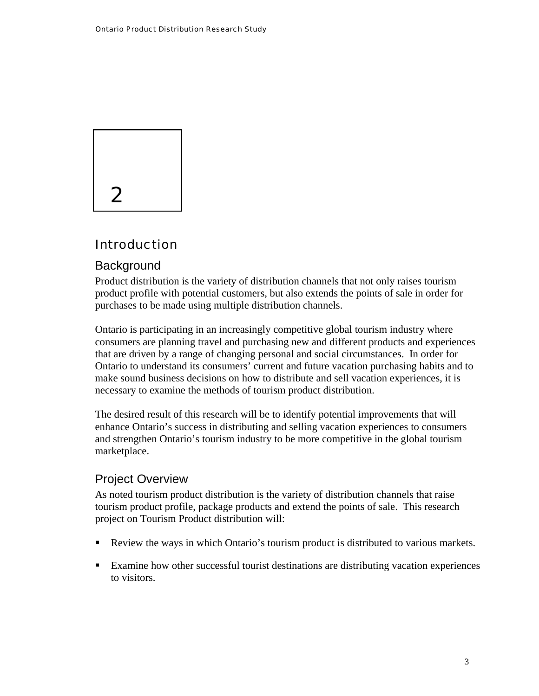<span id="page-5-0"></span>

### Introduction

#### **Background**

Product distribution is the variety of distribution channels that not only raises tourism product profile with potential customers, but also extends the points of sale in order for purchases to be made using multiple distribution channels.

Ontario is participating in an increasingly competitive global tourism industry where consumers are planning travel and purchasing new and different products and experiences that are driven by a range of changing personal and social circumstances. In order for Ontario to understand its consumers' current and future vacation purchasing habits and to make sound business decisions on how to distribute and sell vacation experiences, it is necessary to examine the methods of tourism product distribution.

The desired result of this research will be to identify potential improvements that will enhance Ontario's success in distributing and selling vacation experiences to consumers and strengthen Ontario's tourism industry to be more competitive in the global tourism marketplace.

#### Project Overview

As noted tourism product distribution is the variety of distribution channels that raise tourism product profile, package products and extend the points of sale. This research project on Tourism Product distribution will:

- Review the ways in which Ontario's tourism product is distributed to various markets.
- Examine how other successful tourist destinations are distributing vacation experiences to visitors.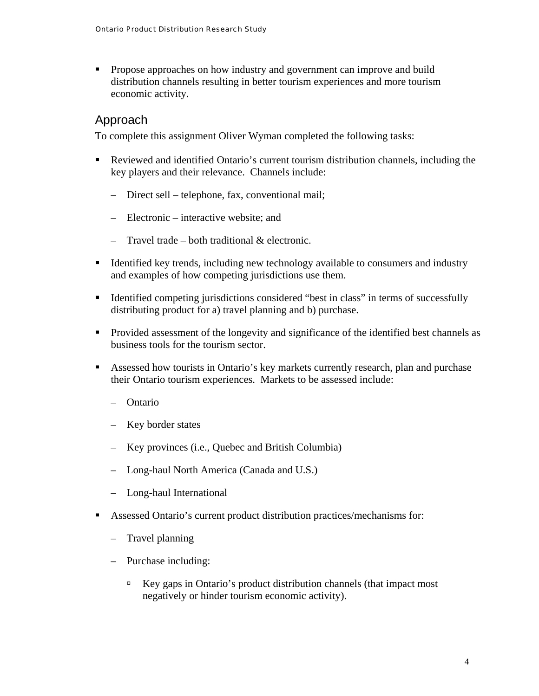<span id="page-6-0"></span>**Propose approaches on how industry and government can improve and build** distribution channels resulting in better tourism experiences and more tourism economic activity.

#### Approach

To complete this assignment Oliver Wyman completed the following tasks:

- Reviewed and identified Ontario's current tourism distribution channels, including the key players and their relevance. Channels include:
	- Direct sell telephone, fax, conventional mail;
	- Electronic interactive website; and
	- Travel trade both traditional  $&$  electronic.
- Identified key trends, including new technology available to consumers and industry and examples of how competing jurisdictions use them.
- Identified competing jurisdictions considered "best in class" in terms of successfully distributing product for a) travel planning and b) purchase.
- **Provided assessment of the longevity and significance of the identified best channels as** business tools for the tourism sector.
- Assessed how tourists in Ontario's key markets currently research, plan and purchase their Ontario tourism experiences. Markets to be assessed include:
	- Ontario
	- Key border states
	- Key provinces (i.e., Quebec and British Columbia)
	- Long-haul North America (Canada and U.S.)
	- Long-haul International
- Assessed Ontario's current product distribution practices/mechanisms for:
	- Travel planning
	- Purchase including:
		- $\Box$  Key gaps in Ontario's product distribution channels (that impact most negatively or hinder tourism economic activity).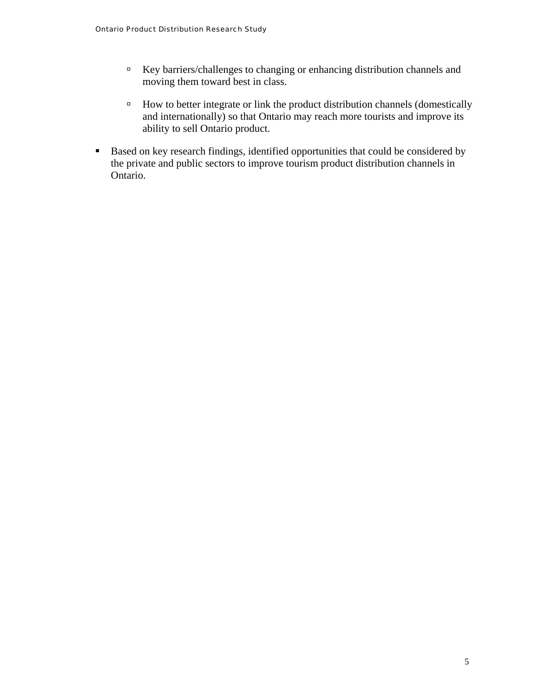- à Key barriers/challenges to changing or enhancing distribution channels and moving them toward best in class.
- <sup> $\Box$ </sup> How to better integrate or link the product distribution channels (domestically and internationally) so that Ontario may reach more tourists and improve its ability to sell Ontario product.
- Based on key research findings, identified opportunities that could be considered by the private and public sectors to improve tourism product distribution channels in Ontario.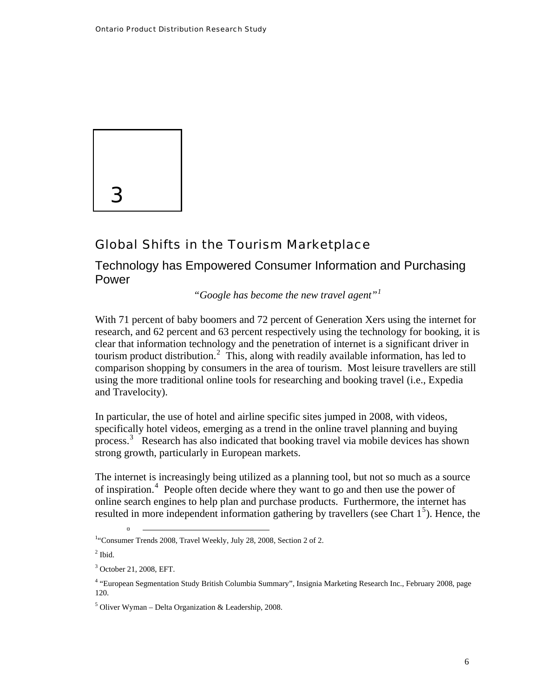<span id="page-8-0"></span>

### Global Shifts in the Tourism Marketplace

Technology has Empowered Consumer Information and Purchasing Power

*"Google has become the new travel agent"[1](#page-8-0)*

With 71 percent of baby boomers and 72 percent of Generation Xers using the internet for research, and 62 percent and 63 percent respectively using the technology for booking, it is clear that information technology and the penetration of internet is a significant driver in tourism product distribution.<sup>[2](#page-8-0)</sup> This, along with readily available information, has led to comparison shopping by consumers in the area of tourism. Most leisure travellers are still using the more traditional online tools for researching and booking travel (i.e., Expedia and Travelocity).

In particular, the use of hotel and airline specific sites jumped in 2008, with videos, specifically hotel videos, emerging as a trend in the online travel planning and buying process.<sup>[3](#page-8-0)</sup> Research has also indicated that booking travel via mobile devices has shown strong growth, particularly in European markets.

The internet is increasingly being utilized as a planning tool, but not so much as a source of inspiration.[4](#page-8-0) People often decide where they want to go and then use the power of online search engines to help plan and purchase products. Furthermore, the internet has resulted in more independent information gathering by travellers (see Chart  $1<sup>5</sup>$  $1<sup>5</sup>$  $1<sup>5</sup>$ ). Hence, the

<sup>&</sup>lt;sup>1</sup>"Consumer Trends 2008, Travel Weekly, July 28, 2008, Section 2 of 2.

 $<sup>2</sup>$  Ibid.</sup>

<sup>3</sup> October 21, 2008, EFT.

<sup>4</sup> "European Segmentation Study British Columbia Summary", Insignia Marketing Research Inc., February 2008, page 120.

 $<sup>5</sup>$  Oliver Wyman – Delta Organization & Leadership, 2008.</sup>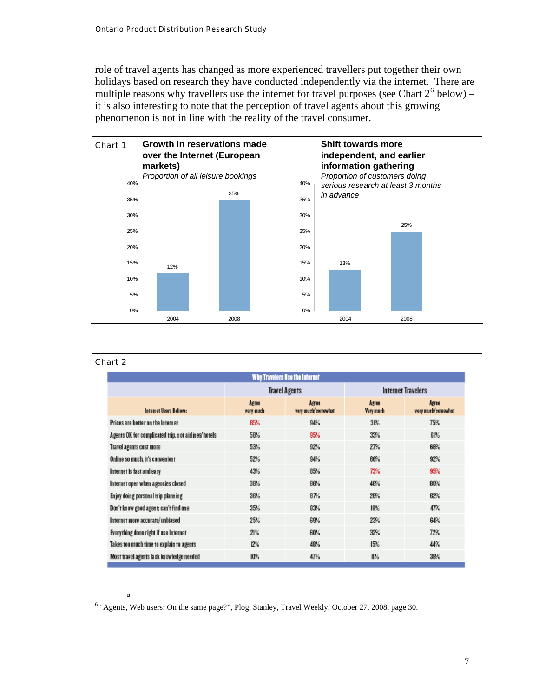<span id="page-9-0"></span>role of travel agents has changed as more experienced travellers put together their own holidays based on research they have conducted independently via the internet. There are multiple reasons why travellers use the internet for travel purposes (see Chart  $2^6$  $2^6$  below) – it is also interesting to note that the perception of travel agents about this growing phenomenon is not in line with the reality of the travel consumer.



#### Chart 2

|                                                     |                                                   | Why Travelers Use the Internet |                    |                                    |  |
|-----------------------------------------------------|---------------------------------------------------|--------------------------------|--------------------|------------------------------------|--|
|                                                     |                                                   | <b>Travel Agents</b>           | Internet Travelers |                                    |  |
| Internet Users Believe:                             | Agree<br>Agree<br>very much/somewhat<br>very much |                                | Agree<br>Very much | <b>Agree</b><br>very much/somewhat |  |
| Prices are better on the Intemet                    | 65%                                               | 94%                            | 3P <sub>6</sub>    | 75%                                |  |
| Agents OK for complicated trip, not airlines/hotels | 58%                                               | 95%                            | 33%                | 61%                                |  |
| Travel agents cost more                             | 53%                                               | 92%                            | 27%                | 66%                                |  |
| Online so much, it's convenient                     | 52%                                               | 94%                            | 66%                | 92%                                |  |
| Internet is fast and easy                           | 43%                                               | 85%                            | 73%                | 95%                                |  |
| Internet open when agencies closed                  | 38%                                               | 86%                            | 48%                | 80%                                |  |
| Enjoy doing personal trip planning                  | 36%                                               | 87%                            | 28%                | 62%                                |  |
| Don't know good agent; can't find one               | 35%                                               | 83%                            | 19%                | 47%                                |  |
| Internet more accurate/unbiased                     | 25%                                               | 69%                            | 23%                | 64%                                |  |
| Everything done right if use Internet               | 21%                                               | 60%                            | 32%                | 72%                                |  |
| Takes too much time to explain to agents            | 12%                                               | 48%                            | 15%                | 44%                                |  |
| Most travel agents lack knowledge needed            | 10%                                               | 47%                            | 11%                | 38%                                |  |

<sup>&</sup>lt;sup>6</sup> "Agents, Web users: On the same page?", Plog, Stanley, Travel Weekly, October 27, 2008, page 30.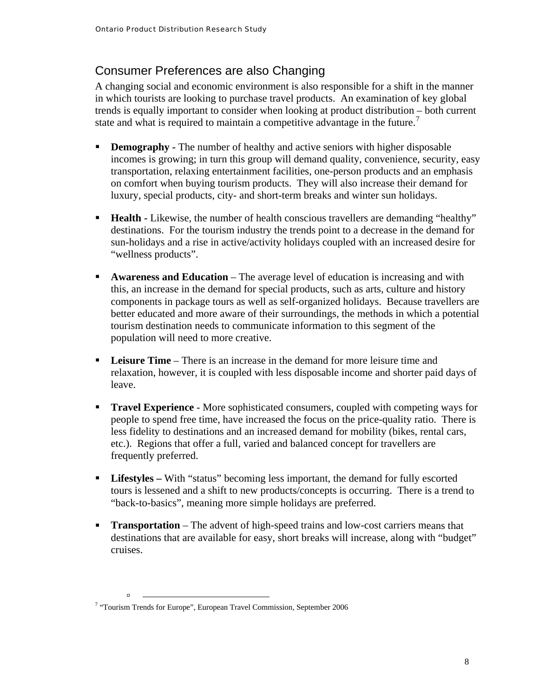#### <span id="page-10-0"></span>Consumer Preferences are also Changing

A changing social and economic environment is also responsible for a shift in the manner trends is equally important to consider when looking at product distribution – both current in which tourists are looking to purchase travel products. An examination of key global state and what is required to maintain a competitive advantage in the future.<sup>[7](#page-10-0)</sup>

- incomes is growing; in turn this group will demand quality, convenience, security, easy **Demography** - The number of healthy and active seniors with higher disposable transportation, relaxing entertainment facilities, one-person products and an emphasis on comfort when buying tourism products. They will also increase their demand for luxury, special products, city- and short-term breaks and winter sun holidays.
- **Health -** Likewise, the number of health conscious travellers are demanding "healthy" destinations. For the tourism industry the trends point to a decrease in the demand for sun-holidays and a rise in active/activity holidays coupled with an increased desire for "wellness products".
- **Example 3 Awareness and Education** The average level of education is increasing and with components in package tours as well as self-organized holidays. Because travellers are this, an increase in the demand for special products, such as arts, culture and history better educated and more aware of their surroundings, the methods in which a potential tourism destination needs to communicate information to this segment of the population will need to more creative.
- **Leisure Time** There is an increase in the demand for more leisure time and relaxation, however, it is coupled with less disposable income and shorter paid days of leave.
- **Travel Experience** More sophisticated consumers, coupled with competing ways for people to spend free time, have increased the focus on the price-quality ratio. There is less fidelity to destinations and an increased demand for mobility (bikes, rental cars, etc.). Regions that offer a full, varied and balanced concept for travellers are frequently preferred.
- **Lifestyles With "status" becoming less important, the demand for fully escorted** tours is lessened and a shift to new products/concepts is occurring. There is a trend to "back-to-basics", meaning more simple holidays are preferred.
- **Transportation** The advent of high-speed trains and low-cost carriers means that destinations that are available for easy, short breaks will increase, along with "budget" cruises.

<sup>&</sup>lt;sup>7</sup> "Tourism Trends for Europe", European Travel Commission, September 2006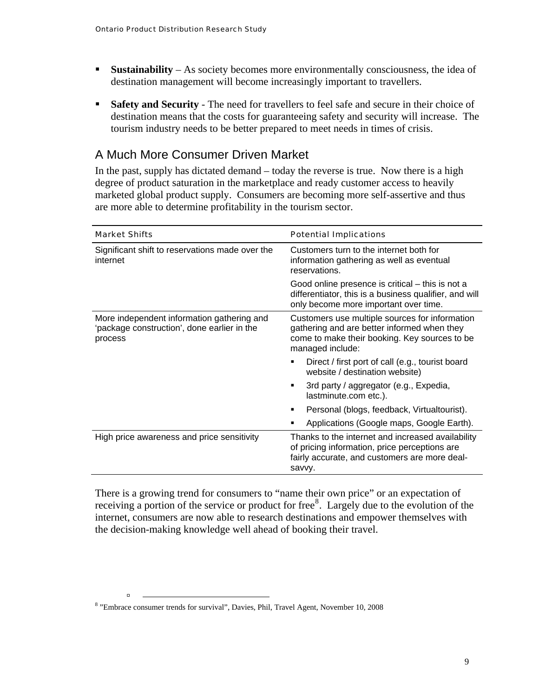- <span id="page-11-0"></span>**Sustainability** – As society becomes more environmentally consciousness, the idea of destination management will become increasingly important to travellers.
- **Safety and Security** The need for travellers to feel safe and secure in their choice of destination means that the costs for guaranteeing safety and security will increase. The tourism industry needs to be better prepared to meet needs in times of crisis.

#### A Much More Consumer Driven Market

In the past, supply has dictated demand – today the reverse is true. Now there is a high degree of product saturation in the marketplace and ready customer access to heavily marketed global product supply. Consumers are becoming more self-assertive and thus are more able to determine profitability in the tourism sector.

| <b>Market Shifts</b>                                                                                 | <b>Potential Implications</b>                                                                                                                                      |  |  |
|------------------------------------------------------------------------------------------------------|--------------------------------------------------------------------------------------------------------------------------------------------------------------------|--|--|
| Significant shift to reservations made over the<br>internet                                          | Customers turn to the internet both for<br>information gathering as well as eventual<br>reservations.                                                              |  |  |
|                                                                                                      | Good online presence is critical – this is not a<br>differentiator, this is a business qualifier, and will<br>only become more important over time.                |  |  |
| More independent information gathering and<br>'package construction', done earlier in the<br>process | Customers use multiple sources for information<br>gathering and are better informed when they<br>come to make their booking. Key sources to be<br>managed include: |  |  |
|                                                                                                      | Direct / first port of call (e.g., tourist board<br>٠<br>website / destination website)                                                                            |  |  |
|                                                                                                      | 3rd party / aggregator (e.g., Expedia,<br>٠<br>lastminute.com etc.).                                                                                               |  |  |
|                                                                                                      | Personal (blogs, feedback, Virtualtourist).<br>٠                                                                                                                   |  |  |
|                                                                                                      | Applications (Google maps, Google Earth).<br>п                                                                                                                     |  |  |
| High price awareness and price sensitivity                                                           | Thanks to the internet and increased availability<br>of pricing information, price perceptions are<br>fairly accurate, and customers are more deal-<br>savvy.      |  |  |

There is a growing trend for consumers to "name their own price" or an expectation of receiving a portion of the service or product for free $\delta$ . Largely due to the evolution of the internet, consumers are now able to research destinations and empower themselves with the decision-making knowledge well ahead of booking their travel.

<sup>&</sup>lt;sup>8</sup> "Embrace consumer trends for survival", Davies, Phil, Travel Agent, November 10, 2008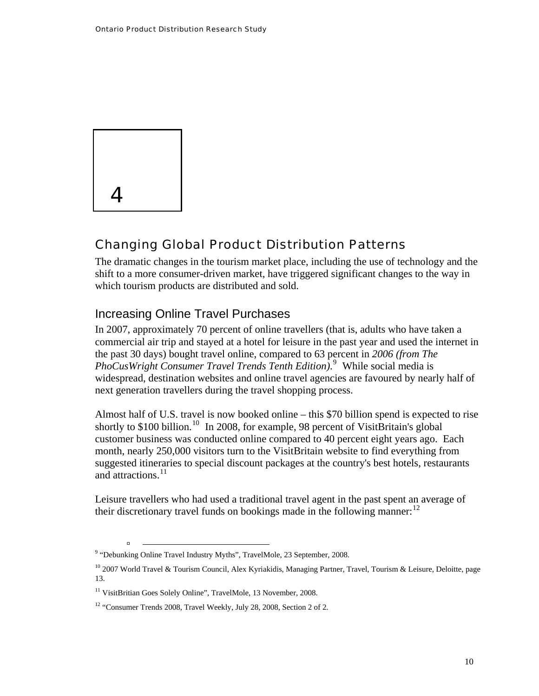<span id="page-12-0"></span>

à

#### Changing Global Product Distribution Patterns

The dramatic changes in the tourism market place, including the use of technology and the shift to a more consumer-driven market, have triggered significant changes to the way in which tourism products are distributed and sold.

#### Increasing Online Travel Purchases

In 2007, approximately 70 percent of online travellers (that is, adults who have taken a commercial air trip and stayed at a hotel for leisure in the past year and used the internet in the past 30 days) bought travel online, compared to 63 percent in *2006 (from The PhoCusWright Consumer Travel Trends Tenth Edition)*. [9](#page-12-0) While social media is widespread, destination websites and online travel agencies are favoured by nearly half of next generation travellers during the travel shopping process.

Almost half of U.S. travel is now booked online – this \$70 billion spend is expected to rise shortly to \$[10](#page-12-0)0 billion.<sup>10</sup> In 2008, for example, 98 percent of VisitBritain's global customer business was conducted online compared to 40 percent eight years ago. Each month, nearly 250,000 visitors turn to the VisitBritain website to find everything from suggested itineraries to special discount packages at the country's best hotels, restaurants and attractions.<sup>[11](#page-12-0)</sup>

Leisure travellers who had used a traditional travel agent in the past spent an average of their discretionary travel funds on bookings made in the following manner:  $12$ 

<sup>&</sup>lt;sup>9</sup> "Debunking Online Travel Industry Myths", TravelMole, 23 September, 2008.

<sup>&</sup>lt;sup>10</sup> 2007 World Travel & Tourism Council, Alex Kyriakidis, Managing Partner, Travel, Tourism & Leisure, Deloitte, page 13.

<sup>&</sup>lt;sup>11</sup> VisitBritian Goes Solely Online", TravelMole, 13 November, 2008.

<sup>&</sup>lt;sup>12</sup> "Consumer Trends 2008, Travel Weekly, July 28, 2008, Section 2 of 2.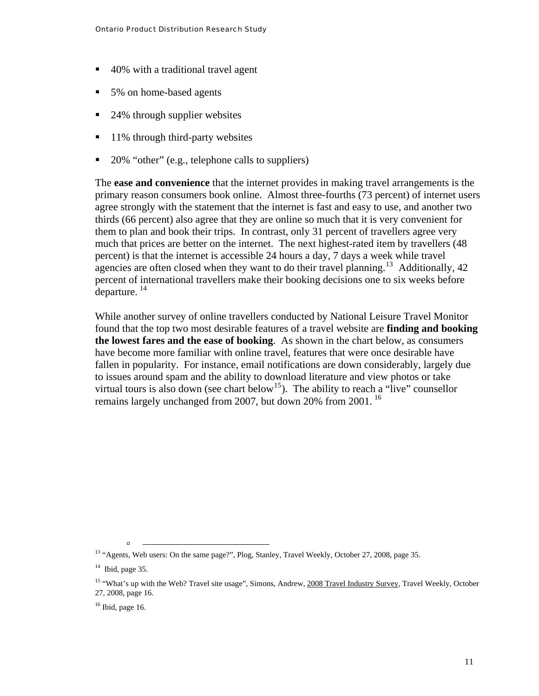- <span id="page-13-0"></span>■ 40% with a traditional travel agent
- 5% on home-based agents
- 24% through supplier websites
- $\blacksquare$  11% through third-party websites
- $\blacksquare$  20% "other" (e.g., telephone calls to suppliers)

The **ease and convenience** that the internet provides in making travel arrangements is the primary reason consumers book online. Almost three-fourths (73 percent) of internet users agree strongly with the statement that the internet is fast and easy to use, and another two thirds (66 percent) also agree that they are online so much that it is very convenient for them to plan and book their trips. In contrast, only 31 percent of travellers agree very much that prices are better on the internet. The next highest-rated item by travellers (48 percent) is that the internet is accessible 24 hours a day, 7 days a week while travel agencies are often closed when they want to do their travel planning.<sup>[13](#page-13-0)</sup> Additionally, 42 percent of international travellers make their booking decisions one to six weeks before departure.  $^{14}$  $^{14}$  $^{14}$ 

While another survey of online travellers conducted by National Leisure Travel Monitor found that the top two most desirable features of a travel website are **finding and booking the lowest fares and the ease of booking**. As shown in the chart below, as consumers have become more familiar with online travel, features that were once desirable have fallen in popularity. For instance, email notifications are down considerably, largely due to issues around spam and the ability to download literature and view photos or take virtual tours is also down (see chart below<sup>[15](#page-13-0)</sup>). The ability to reach a "live" counsellor remains largely unchanged from 2007, but down 20% from 2001.<sup>[16](#page-13-0)</sup>

<sup>&</sup>lt;sup>13</sup> "Agents, Web users: On the same page?", Plog, Stanley, Travel Weekly, October 27, 2008, page 35.

 $14$  Ibid, page 35.

<sup>&</sup>lt;sup>15</sup> "What's up with the Web? Travel site usage", Simons, Andrew, 2008 Travel Industry Survey, Travel Weekly, October 27, 2008, page 16.

 $16$  Ibid, page 16.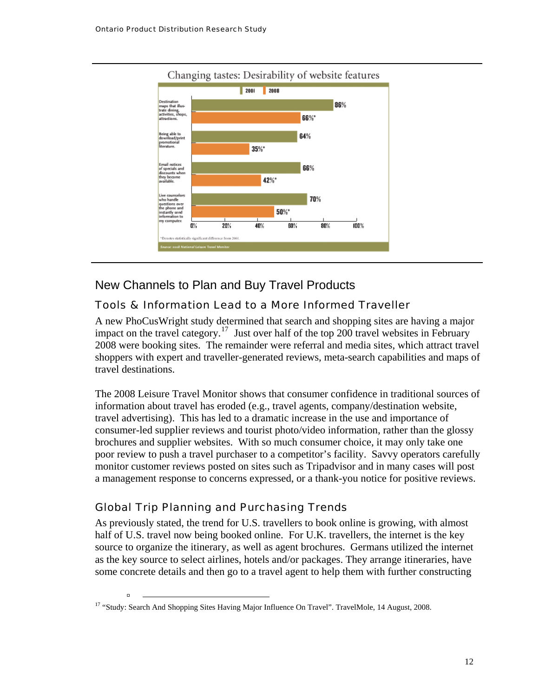<span id="page-14-0"></span>

#### New Channels to Plan and Buy Travel Products

#### Tools & Information Lead to a More Informed Traveller

A new PhoCusWright study determined that search and shopping sites are having a major impact on the travel category.<sup>[17](#page-14-0)</sup> Just over half of the top 200 travel websites in February 2008 were booking sites. The remainder were referral and media sites, which attract travel shoppers with expert and traveller-generated reviews, meta-search capabilities and maps of travel destinations.

The 2008 Leisure Travel Monitor shows that consumer confidence in traditional sources of information about travel has eroded (e.g., travel agents, company/destination website, travel advertising). This has led to a dramatic increase in the use and importance of consumer-led supplier reviews and tourist photo/video information, rather than the glossy brochures and supplier websites. With so much consumer choice, it may only take one poor review to push a travel purchaser to a competitor's facility. Savvy operators carefully monitor customer reviews posted on sites such as Tripadvisor and in many cases will post a management response to concerns expressed, or a thank-you notice for positive reviews.

#### Global Trip Planning and Purchasing Trends

à

As previously stated, the trend for U.S. travellers to book online is growing, with almost half of U.S. travel now being booked online. For U.K. travellers, the internet is the key source to organize the itinerary, as well as agent brochures. Germans utilized the internet as the key source to select airlines, hotels and/or packages. They arrange itineraries, have some concrete details and then go to a travel agent to help them with further constructing

<sup>&</sup>lt;sup>17</sup> "Study: Search And Shopping Sites Having Major Influence On Travel". TravelMole, 14 August, 2008.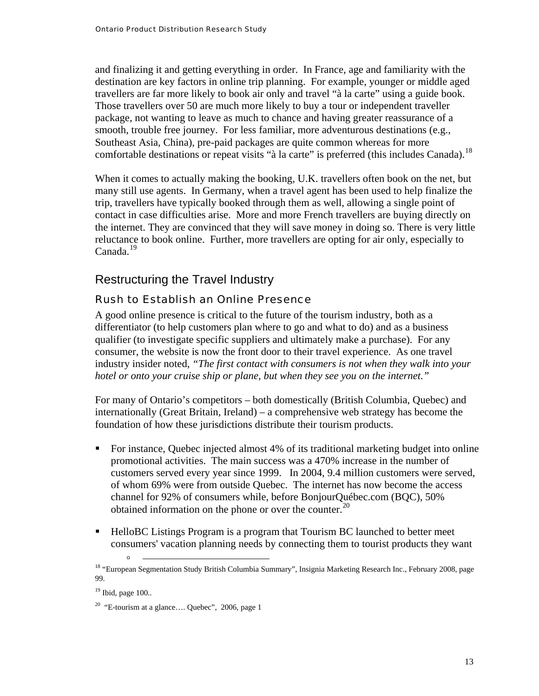<span id="page-15-0"></span>and finalizing it and getting everything in order. In France, age and familiarity with the destination are key factors in online trip planning. For example, younger or middle aged travellers are far more likely to book air only and travel "à la carte" using a guide book. Those travellers over 50 are much more likely to buy a tour or independent traveller package, not wanting to leave as much to chance and having greater reassurance of a smooth, trouble free journey. For less familiar, more adventurous destinations (e.g., Southeast Asia, China), pre-paid packages are quite common whereas for more comfortable destinations or repeat visits "à la carte" is preferred (this includes Canada).<sup>[18](#page-15-0)</sup>

When it comes to actually making the booking, U.K. travellers often book on the net, but many still use agents. In Germany, when a travel agent has been used to help finalize the trip, travellers have typically booked through them as well, allowing a single point of contact in case difficulties arise. More and more French travellers are buying directly on the internet. They are convinced that they will save money in doing so. There is very little reluctance to book online. Further, more travellers are opting for air only, especially to Canada.[19](#page-15-0)

#### Restructuring the Travel Industry

#### Rush to Establish an Online Presence

A good online presence is critical to the future of the tourism industry, both as a differentiator (to help customers plan where to go and what to do) and as a business qualifier (to investigate specific suppliers and ultimately make a purchase). For any consumer, the website is now the front door to their travel experience. As one travel industry insider noted, *"The first contact with consumers is not when they walk into your hotel or onto your cruise ship or plane, but when they see you on the internet."*

For many of Ontario's competitors – both domestically (British Columbia, Quebec) and internationally (Great Britain, Ireland) – a comprehensive web strategy has become the foundation of how these jurisdictions distribute their tourism products.

- For instance, Quebec injected almost 4% of its traditional marketing budget into online promotional activities. The main success was a 470% increase in the number of customers served every year since 1999. In 2004, 9.4 million customers were served, of whom 69% were from outside Quebec. The internet has now become the access channel for 92% of consumers while, before BonjourQuébec.com (BQC), 50% obtained information on the phone or over the counter. $^{20}$  $^{20}$  $^{20}$
- HelloBC Listings Program is a program that Tourism BC launched to better meet consumers' vacation planning needs by connecting them to tourist products they want

<sup>&</sup>lt;sup>18</sup> "European Segmentation Study British Columbia Summary", Insignia Marketing Research Inc., February 2008, page 99.

 $19$  Ibid, page  $100$ ..

<sup>&</sup>lt;sup>20</sup> "E-tourism at a glance.... Quebec", 2006, page 1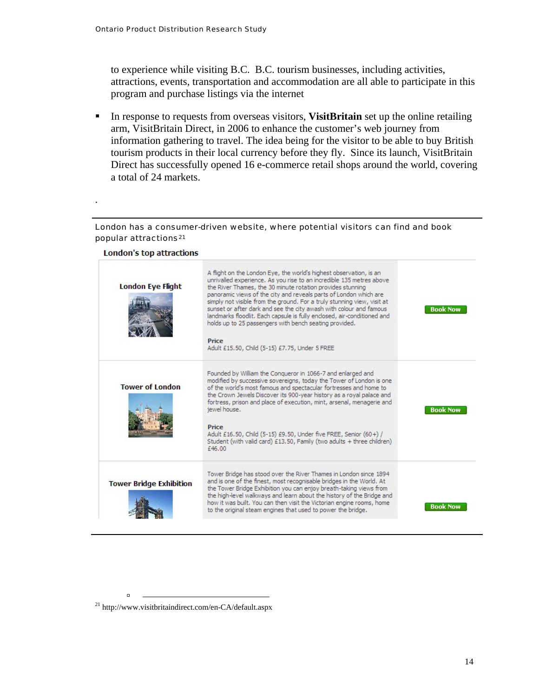.

<span id="page-16-0"></span>to experience while visiting B.C. B.C. tourism businesses, including activities, attractions, events, transportation and accommodation are all able to participate in this program and purchase listings via the internet

In response to requests from overseas visitors, **VisitBritain** set up the online retailing arm, VisitBritain Direct, in 2006 to enhance the customer's web journey from information gathering to travel. The idea being for the visitor to be able to buy British tourism products in their local currency before they fly. Since its launch, VisitBritain Direct has successfully opened 16 e-commerce retail shops around the world, covering a total of 24 markets.

#### London has a consumer-driven website, where potential visitors can find and book popular attractions<sup>[21](#page-16-0)</sup>

#### London's top attractions A flight on the London Eye, the world's highest observation, is an unrivalled experience. As you rise to an incredible 135 metres above **London Eye Flight** the River Thames, the 30 minute rotation provides stunning panoramic views of the city and reveals parts of London which are simply not visible from the ground. For a truly stunning view, visit at sunset or after dark and see the city awash with colour and famous **Book Now** landmarks floodlit. Each capsule is fully enclosed, air-conditioned and holds up to 25 passengers with bench seating provided. Price Adult £15.50, Child (5-15) £7.75, Under 5 FREE Founded by William the Conqueror in 1066-7 and enlarged and modified by successive sovereigns, today the Tower of London is one **Tower of London** of the world's most famous and spectacular fortresses and home to the Crown Jewels Discover its 900-year history as a royal palace and fortress, prison and place of execution, mint, arsenal, menagerie and jewel house. **Book Now** Price Adult £16.50, Child (5-15) £9.50, Under five FREE, Senior (60+) / Student (with valid card) £13.50, Family (two adults + three children) £46.00 Tower Bridge has stood over the River Thames in London since 1894 and is one of the finest, most recognisable bridges in the World. At **Tower Bridge Exhibition** the Tower Bridge Exhibition you can enjoy breath-taking views from the high-level walkways and learn about the history of the Bridge and how it was built. You can then visit the Victorian engine rooms, home **Book Now** to the original steam engines that used to power the bridge.

21 http://www.visitbritaindirect.com/en-CA/default.aspx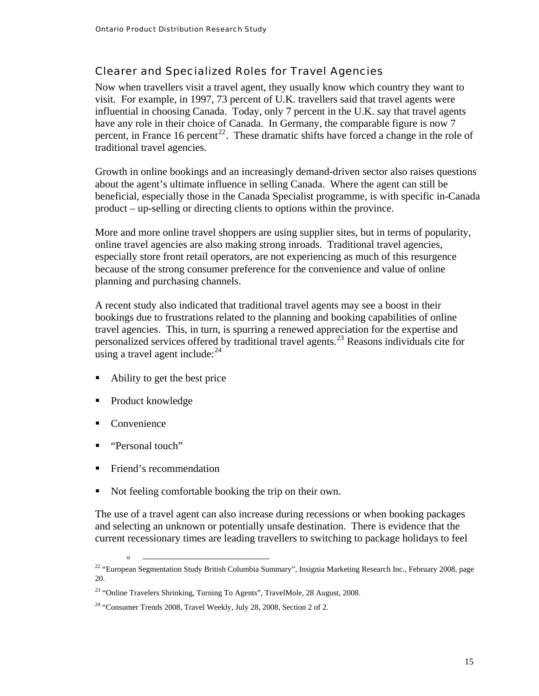#### <span id="page-17-0"></span>Clearer and Specialized Roles for Travel Agencies

Now when travellers visit a travel agent, they usually know which country they want to visit. For example, in 1997, 73 percent of U.K. travellers said that travel agents were influential in choosing Canada. Today, only 7 percent in the U.K. say that travel agents have any role in their choice of Canada. In Germany, the comparable figure is now 7 percent, in France 16 percent<sup>[22](#page-17-0)</sup>. These dramatic shifts have forced a change in the role of traditional travel agencies.

Growth in online bookings and an increasingly demand-driven sector also raises questions about the agent's ultimate influence in selling Canada. Where the agent can still be beneficial, especially those in the Canada Specialist programme, is with specific in-Canada product – up-selling or directing clients to options within the province.

More and more online travel shoppers are using supplier sites, but in terms of popularity, online travel agencies are also making strong inroads. Traditional travel agencies, especially store front retail operators, are not experiencing as much of this resurgence because of the strong consumer preference for the convenience and value of online planning and purchasing channels.

A recent study also indicated that traditional travel agents may see a boost in their bookings due to frustrations related to the planning and booking capabilities of online travel agencies. This, in turn, is spurring a renewed appreciation for the expertise and personalized services offered by traditional travel agents.[23](#page-17-0) Reasons individuals cite for using a travel agent include:  $24$ 

- Ability to get the best price
- Product knowledge
- Convenience

à

- "Personal touch"
- Friend's recommendation
- Not feeling comfortable booking the trip on their own.

The use of a travel agent can also increase during recessions or when booking packages and selecting an unknown or potentially unsafe destination. There is evidence that the current recessionary times are leading travellers to switching to package holidays to feel

<sup>&</sup>lt;sup>22</sup> "European Segmentation Study British Columbia Summary", Insignia Marketing Research Inc., February 2008, page 20.

 $^{23}$  "Online Travelers Shrinking, Turning To Agents", TravelMole, 28 August, 2008.

 $24$  "Consumer Trends 2008, Travel Weekly, July 28, 2008, Section 2 of 2.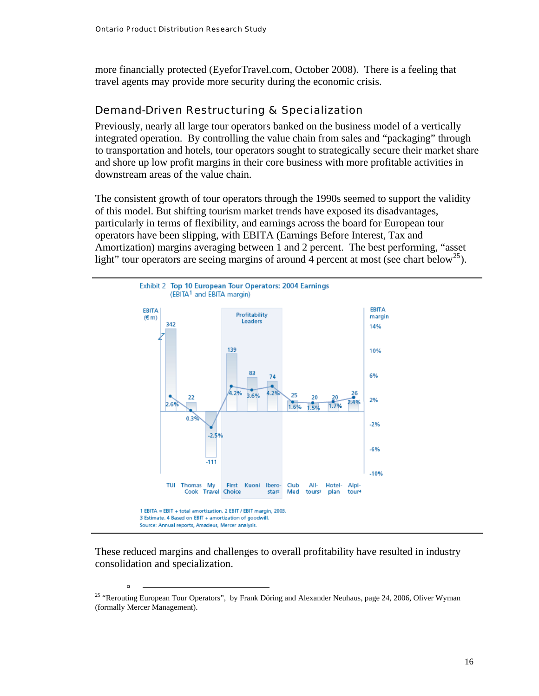<span id="page-18-0"></span>more financially protected (EyeforTravel.com, October 2008). There is a feeling that travel agents may provide more security during the economic crisis.

#### Demand-Driven Restructuring & Specialization

Previously, nearly all large tour operators banked on the business model of a vertically integrated operation. By controlling the value chain from sales and "packaging" through to transportation and hotels, tour operators sought to strategically secure their market share and shore up low profit margins in their core business with more profitable activities in downstream areas of the value chain.

The consistent growth of tour operators through the 1990s seemed to support the validity of this model. But shifting tourism market trends have exposed its disadvantages, particularly in terms of flexibility, and earnings across the board for European tour operators have been slipping, with EBITA (Earnings Before Interest, Tax and Amortization) margins averaging between 1 and 2 percent. The best performing, "asset light" tour operators are seeing margins of around 4 percent at most (see chart below<sup>[25](#page-18-0)</sup>).



These reduced margins and challenges to overall profitability have resulted in industry consolidation and specialization.

<sup>&</sup>lt;sup>25</sup> "Rerouting European Tour Operators", by Frank Döring and Alexander Neuhaus, page 24, 2006, Oliver Wyman (formally Mercer Management).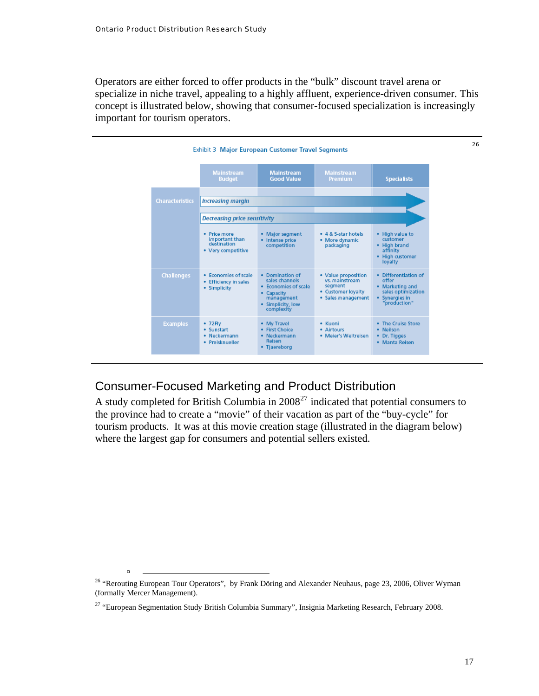<span id="page-19-0"></span>Operators are either forced to offer products in the "bulk" discount travel arena or specialize in niche travel, appealing to a highly affluent, experience-driven consumer. This concept is illustrated below, showing that consumer-focused specialization is increasingly important for tourism operators.



#### Consumer-Focused Marketing and Product Distribution

A study completed for British Columbia in  $2008^{27}$  $2008^{27}$  $2008^{27}$  indicated that potential consumers to the province had to create a "movie" of their vacation as part of the "buy-cycle" for tourism products. It was at this movie creation stage (illustrated in the diagram below) where the largest gap for consumers and potential sellers existed.

<sup>&</sup>lt;sup>26</sup> "Rerouting European Tour Operators", by Frank Döring and Alexander Neuhaus, page 23, 2006, Oliver Wyman (formally Mercer Management).

<sup>&</sup>lt;sup>27</sup> "European Segmentation Study British Columbia Summary", Insignia Marketing Research, February 2008.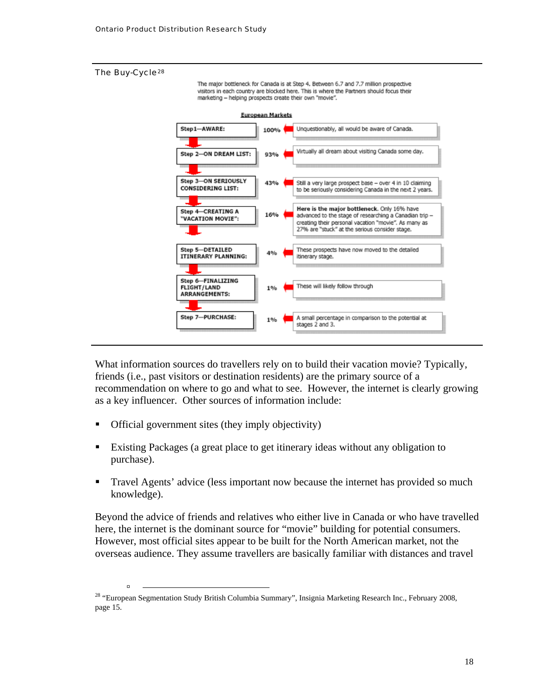#### <span id="page-20-0"></span>The Buy-Cycle[28](#page-20-0)

à

The major bottleneck for Canada is at Step 4. Between 6.7 and 7.7 million prospective visitors in each country are blocked here. This is where the Partners should focus their marketing - helping prospects create their own "movie".



What information sources do travellers rely on to build their vacation movie? Typically, friends (i.e., past visitors or destination residents) are the primary source of a recommendation on where to go and what to see. However, the internet is clearly growing as a key influencer. Other sources of information include:

- Official government sites (they imply objectivity)
- Existing Packages (a great place to get itinerary ideas without any obligation to purchase).
- **Travel Agents' advice (less important now because the internet has provided so much** knowledge).

Beyond the advice of friends and relatives who either live in Canada or who have travelled here, the internet is the dominant source for "movie" building for potential consumers. However, most official sites appear to be built for the North American market, not the overseas audience. They assume travellers are basically familiar with distances and travel

<sup>&</sup>lt;sup>28</sup> "European Segmentation Study British Columbia Summary", Insignia Marketing Research Inc., February 2008, page 15.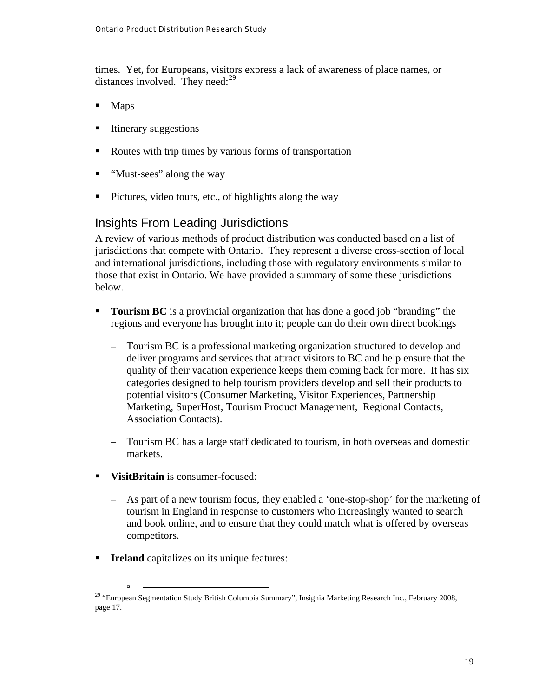<span id="page-21-0"></span>times. Yet, for Europeans, visitors express a lack of awareness of place names, or distances involved. They need: $29$ 

- Maps
- **Itinerary suggestions**
- Routes with trip times by various forms of transportation
- "Must-sees" along the way
- Pictures, video tours, etc., of highlights along the way

#### Insights From Leading Jurisdictions

A review of various methods of product distribution was conducted based on a list of jurisdictions that compete with Ontario. They represent a diverse cross-section of local and international jurisdictions, including those with regulatory environments similar to those that exist in Ontario. We have provided a summary of some these jurisdictions below.

- **Tourism BC** is a provincial organization that has done a good job "branding" the regions and everyone has brought into it; people can do their own direct bookings
	- Tourism BC is a professional marketing organization structured to develop and deliver programs and services that attract visitors to BC and help ensure that the quality of their vacation experience keeps them coming back for more. It has six categories designed to help tourism providers develop and sell their products to potential visitors (Consumer Marketing, Visitor Experiences, Partnership Marketing, SuperHost, Tourism Product Management, Regional Contacts, Association Contacts).
	- Tourism BC has a large staff dedicated to tourism, in both overseas and domestic markets.
- **VisitBritain** is consumer-focused:
	- As part of a new tourism focus, they enabled a 'one-stop-shop' for the marketing of tourism in England in response to customers who increasingly wanted to search and book online, and to ensure that they could match what is offered by overseas competitors.
- **Ireland** capitalizes on its unique features:

<sup>&</sup>lt;sup>29</sup> "European Segmentation Study British Columbia Summary", Insignia Marketing Research Inc., February 2008, page 17.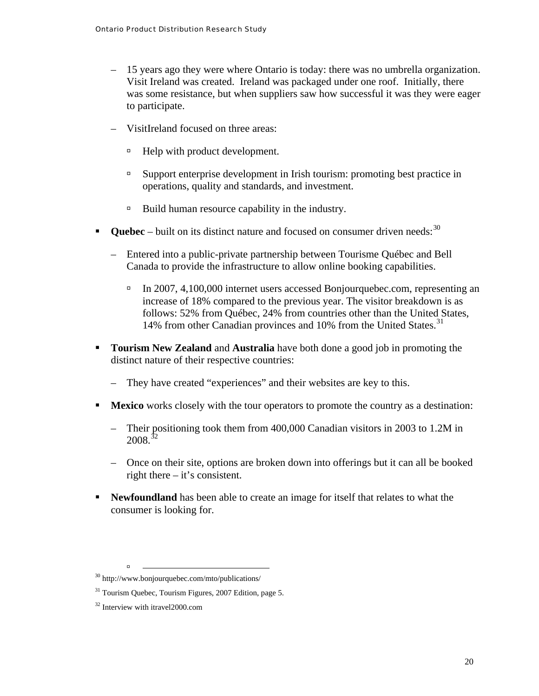- <span id="page-22-0"></span>– 15 years ago they were where Ontario is today: there was no umbrella organization. Visit Ireland was created. Ireland was packaged under one roof. Initially, there was some resistance, but when suppliers saw how successful it was they were eager to participate.
- VisitIreland focused on three areas:
	- <sup> $\Box$ </sup> Help with product development.
	- à Support enterprise development in Irish tourism: promoting best practice in operations, quality and standards, and investment.
	- $\Box$  Build human resource capability in the industry.
- **Ouebec** built on its distinct nature and focused on consumer driven needs:  $30$ 
	- Entered into a public-private partnership between Tourisme Québec and Bell Canada to provide the infrastructure to allow online booking capabilities.
		- à In 2007, 4,100,000 internet users accessed Bonjourquebec.com, representing an increase of 18% compared to the previous year. The visitor breakdown is as follows: 52% from Québec, 24% from countries other than the United States, 14% from other Canadian provinces and 10% from the United States.<sup>[31](#page-22-0)</sup>
- **Tourism New Zealand** and **Australia** have both done a good job in promoting the distinct nature of their respective countries:
	- They have created "experiences" and their websites are key to this.
- **Mexico** works closely with the tour operators to promote the country as a destination:
	- Their positioning took them from 400,000 Canadian visitors in 2003 to 1.2M in 2008.[32](#page-22-0)
	- Once on their site, options are broken down into offerings but it can all be booked right there – it's consistent.
- **Newfoundland** has been able to create an image for itself that relates to what the consumer is looking for.

<sup>30</sup> http://www.bonjourquebec.com/mto/publications/

<sup>&</sup>lt;sup>31</sup> Tourism Quebec, Tourism Figures, 2007 Edition, page 5.

<sup>&</sup>lt;sup>32</sup> Interview with itravel 2000.com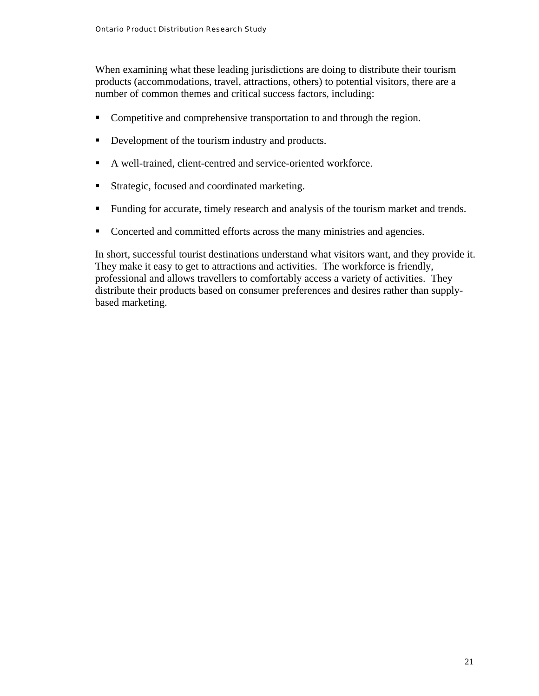When examining what these leading jurisdictions are doing to distribute their tourism products (accommodations, travel, attractions, others) to potential visitors, there are a number of common themes and critical success factors, including:

- Competitive and comprehensive transportation to and through the region.
- Development of the tourism industry and products.
- A well-trained, client-centred and service-oriented workforce.
- **Strategic, focused and coordinated marketing.**
- Funding for accurate, timely research and analysis of the tourism market and trends.
- Concerted and committed efforts across the many ministries and agencies.

In short, successful tourist destinations understand what visitors want, and they provide it. They make it easy to get to attractions and activities. The workforce is friendly, professional and allows travellers to comfortably access a variety of activities. They distribute their products based on consumer preferences and desires rather than supplybased marketing.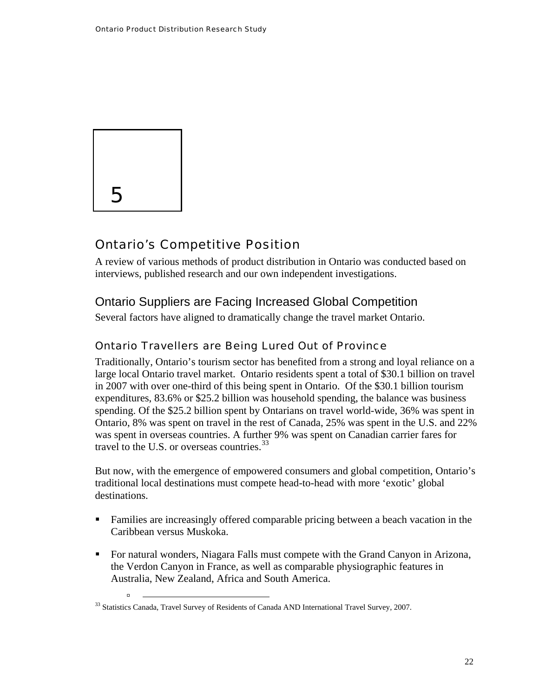<span id="page-24-0"></span>

à

#### Ontario's Competitive Position

A review of various methods of product distribution in Ontario was conducted based on interviews, published research and our own independent investigations.

#### Ontario Suppliers are Facing Increased Global Competition

Several factors have aligned to dramatically change the travel market Ontario.

#### Ontario Travellers are Being Lured Out of Province

Traditionally, Ontario's tourism sector has benefited from a strong and loyal reliance on a large local Ontario travel market. Ontario residents spent a total of \$30.1 billion on travel in 2007 with over one-third of this being spent in Ontario. Of the \$30.1 billion tourism expenditures, 83.6% or \$25.2 billion was household spending, the balance was business spending. Of the \$25.2 billion spent by Ontarians on travel world-wide, 36% was spent in Ontario, 8% was spent on travel in the rest of Canada, 25% was spent in the U.S. and 22% was spent in overseas countries. A further 9% was spent on Canadian carrier fares for travel to the U.S. or overseas countries.<sup>[33](#page-24-0)</sup>

But now, with the emergence of empowered consumers and global competition, Ontario's traditional local destinations must compete head-to-head with more 'exotic' global destinations.

- Families are increasingly offered comparable pricing between a beach vacation in the Caribbean versus Muskoka.
- For natural wonders, Niagara Falls must compete with the Grand Canyon in Arizona, the Verdon Canyon in France, as well as comparable physiographic features in Australia, New Zealand, Africa and South America.

<sup>&</sup>lt;sup>33</sup> Statistics Canada, Travel Survey of Residents of Canada AND International Travel Survey, 2007.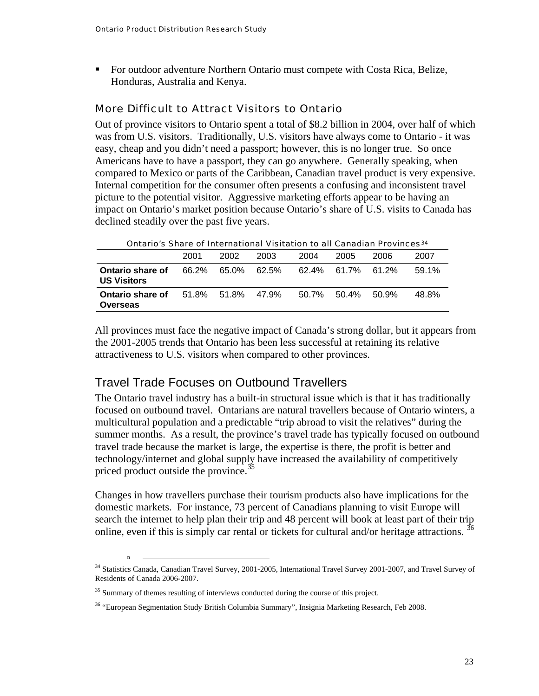<span id="page-25-0"></span> For outdoor adventure Northern Ontario must compete with Costa Rica, Belize, Honduras, Australia and Kenya.

#### More Difficult to Attract Visitors to Ontario

Out of province visitors to Ontario spent a total of \$8.2 billion in 2004, over half of which was from U.S. visitors. Traditionally, U.S. visitors have always come to Ontario - it was easy, cheap and you didn't need a passport; however, this is no longer true. So once Americans have to have a passport, they can go anywhere. Generally speaking, when compared to Mexico or parts of the Caribbean, Canadian travel product is very expensive. Internal competition for the consumer often presents a confusing and inconsistent travel picture to the potential visitor. Aggressive marketing efforts appear to be having an impact on Ontario's market position because Ontario's share of U.S. visits to Canada has declined steadily over the past five years.

| Ontario's Share of International Visitation to all Canadian Provinces $^{34}$ |                   |                   |      |       |                   |       |       |
|-------------------------------------------------------------------------------|-------------------|-------------------|------|-------|-------------------|-------|-------|
|                                                                               | 2001              | 2002              | 2003 | 2004  | 2005              | 2006  | 2007  |
| Ontario share of<br><b>US Visitors</b>                                        |                   | 66.2% 65.0% 62.5% |      |       | 62.4% 61.7% 61.2% |       | 59.1% |
| Ontario share of<br>Overseas                                                  | 51.8% 51.8% 47.9% |                   |      | 50.7% | 50.4%             | 50.9% | 48.8% |

Ontario's Share of International Visitation to all Canadian Provinces[34](#page-25-0)

All provinces must face the negative impact of Canada's strong dollar, but it appears from the 2001-2005 trends that Ontario has been less successful at retaining its relative attractiveness to U.S. visitors when compared to other provinces.

#### Travel Trade Focuses on Outbound Travellers

The Ontario travel industry has a built-in structural issue which is that it has traditionally focused on outbound travel. Ontarians are natural travellers because of Ontario winters, a multicultural population and a predictable "trip abroad to visit the relatives" during the summer months. As a result, the province's travel trade has typically focused on outbound travel trade because the market is large, the expertise is there, the profit is better and technology/internet and global supply have increased the availability of competitively priced product outside the province.<sup>35</sup>

Changes in how travellers purchase their tourism products also have implications for the domestic markets. For instance, 73 percent of Canadians planning to visit Europe will search the internet to help plan their trip and 48 percent will book at least part of their trip online, even if this is simply car rental or tickets for cultural and/or heritage attractions. <sup>[36](#page-25-0)</sup>

<sup>&</sup>lt;sup>34</sup> Statistics Canada, Canadian Travel Survey, 2001-2005, International Travel Survey 2001-2007, and Travel Survey of Residents of Canada 2006-2007.

<sup>&</sup>lt;sup>35</sup> Summary of themes resulting of interviews conducted during the course of this project.

<sup>&</sup>lt;sup>36</sup> "European Segmentation Study British Columbia Summary", Insignia Marketing Research, Feb 2008.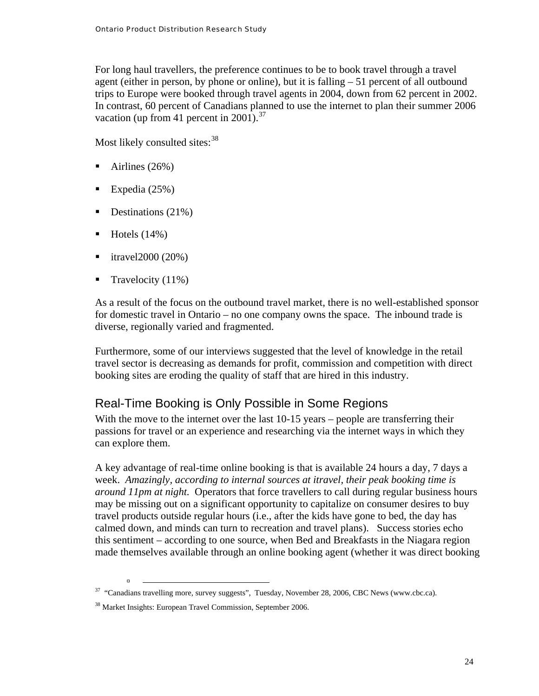<span id="page-26-0"></span>For long haul travellers, the preference continues to be to book travel through a travel agent (either in person, by phone or online), but it is falling – 51 percent of all outbound trips to Europe were booked through travel agents in 2004, down from 62 percent in 2002. In contrast, 60 percent of Canadians planned to use the internet to plan their summer 2006 vacation (up from 41 percent in 2001).<sup>[37](#page-26-0)</sup>

Most likely consulted sites:<sup>[38](#page-26-0)</sup>

- $\blacksquare$  Airlines (26%)
- Expedia  $(25%)$
- Destinations  $(21\%)$
- $\blacksquare$  Hotels (14%)

à

- itravel2000 (20%)
- Travelocity  $(11\%)$

As a result of the focus on the outbound travel market, there is no well-established sponsor for domestic travel in Ontario – no one company owns the space. The inbound trade is diverse, regionally varied and fragmented.

Furthermore, some of our interviews suggested that the level of knowledge in the retail travel sector is decreasing as demands for profit, commission and competition with direct booking sites are eroding the quality of staff that are hired in this industry.

#### Real-Time Booking is Only Possible in Some Regions

With the move to the internet over the last 10-15 years – people are transferring their passions for travel or an experience and researching via the internet ways in which they can explore them.

A key advantage of real-time online booking is that is available 24 hours a day, 7 days a week. *Amazingly, according to internal sources at itravel, their peak booking time is around 11pm at night.* Operators that force travellers to call during regular business hours may be missing out on a significant opportunity to capitalize on consumer desires to buy travel products outside regular hours (i.e., after the kids have gone to bed, the day has calmed down, and minds can turn to recreation and travel plans). Success stories echo this sentiment – according to one source, when Bed and Breakfasts in the Niagara region made themselves available through an online booking agent (whether it was direct booking

 $37$  "Canadians travelling more, survey suggests", Tuesday, November 28, 2006, CBC News (www.cbc.ca).

<sup>38</sup> Market Insights: European Travel Commission, September 2006.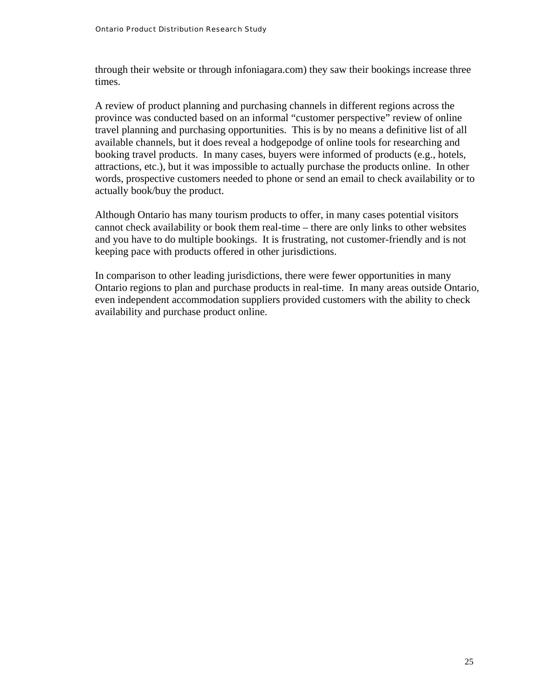through their website or through infoniagara.com) they saw their bookings increase three times.

A review of product planning and purchasing channels in different regions across the province was conducted based on an informal "customer perspective" review of online travel planning and purchasing opportunities. This is by no means a definitive list of all available channels, but it does reveal a hodgepodge of online tools for researching and booking travel products. In many cases, buyers were informed of products (e.g., hotels, attractions, etc.), but it was impossible to actually purchase the products online. In other words, prospective customers needed to phone or send an email to check availability or to actually book/buy the product.

Although Ontario has many tourism products to offer, in many cases potential visitors cannot check availability or book them real-time – there are only links to other websites and you have to do multiple bookings. It is frustrating, not customer-friendly and is not keeping pace with products offered in other jurisdictions.

In comparison to other leading jurisdictions, there were fewer opportunities in many Ontario regions to plan and purchase products in real-time. In many areas outside Ontario, even independent accommodation suppliers provided customers with the ability to check availability and purchase product online.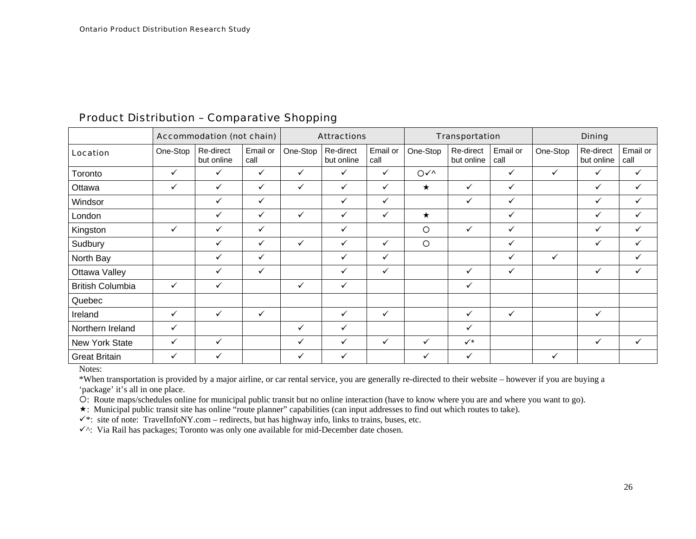|                         |              | <b>Accommodation (not chain)</b> |                  |              | <b>Attractions</b>      |                  |                              | <b>Transportation</b>   |                  |              | <b>Dining</b>           |                  |
|-------------------------|--------------|----------------------------------|------------------|--------------|-------------------------|------------------|------------------------------|-------------------------|------------------|--------------|-------------------------|------------------|
| Location                | One-Stop     | Re-direct<br>but online          | Email or<br>call | One-Stop     | Re-direct<br>but online | Email or<br>call | One-Stop                     | Re-direct<br>but online | Email or<br>call | One-Stop     | Re-direct<br>but online | Email or<br>call |
| Toronto                 | $\checkmark$ | $\checkmark$                     | $\checkmark$     | $\checkmark$ | $\checkmark$            | $\checkmark$     | $O\checkmark\land\checkmark$ |                         | $\checkmark$     | $\checkmark$ | $\checkmark$            | ✓                |
| Ottawa                  | ✓            | ✓                                | $\checkmark$     | $\checkmark$ | ✓                       | $\checkmark$     | $\star$                      | ✓                       | $\checkmark$     |              | $\checkmark$            | ✓                |
| Windsor                 |              | $\checkmark$                     | $\checkmark$     |              | $\checkmark$            | $\checkmark$     |                              | $\checkmark$            | $\checkmark$     |              | $\checkmark$            | $\checkmark$     |
| London                  |              | ✓                                | $\checkmark$     | $\checkmark$ | ✓                       | $\checkmark$     | $\star$                      |                         | $\checkmark$     |              | $\checkmark$            | ✓                |
| Kingston                | $\checkmark$ | ✓                                | $\checkmark$     |              | $\checkmark$            |                  | $\circ$                      | ✓                       | $\checkmark$     |              | $\checkmark$            | ✓                |
| Sudbury                 |              | ✓                                | $\checkmark$     | $\checkmark$ | ✓                       | $\checkmark$     | $\circ$                      |                         | $\checkmark$     |              | $\checkmark$            | ✓                |
| North Bay               |              | ✓                                | $\checkmark$     |              | ✓                       | $\checkmark$     |                              |                         | $\checkmark$     | $\checkmark$ |                         | ✓                |
| Ottawa Valley           |              | ✓                                | $\checkmark$     |              | $\checkmark$            | $\checkmark$     |                              | $\checkmark$            | $\checkmark$     |              | $\checkmark$            | $\checkmark$     |
| <b>British Columbia</b> | $\checkmark$ | ✓                                |                  | ✓            | ✓                       |                  |                              | ✓                       |                  |              |                         |                  |
| Quebec                  |              |                                  |                  |              |                         |                  |                              |                         |                  |              |                         |                  |
| Ireland                 | $\checkmark$ | $\checkmark$                     | $\checkmark$     |              | $\checkmark$            | $\checkmark$     |                              | ✓                       | $\checkmark$     |              | ✓                       |                  |
| Northern Ireland        | $\checkmark$ |                                  |                  | $\checkmark$ | $\checkmark$            |                  |                              | $\checkmark$            |                  |              |                         |                  |
| New York State          | $\checkmark$ | ✓                                |                  | $\checkmark$ | ✓                       | $\checkmark$     | $\checkmark$                 | $\checkmark$            |                  |              | $\checkmark$            | $\checkmark$     |
| <b>Great Britain</b>    | $\checkmark$ | ✓                                |                  | $\checkmark$ | ✓                       |                  | ✓                            | ✓                       |                  | ✓            |                         |                  |

#### Product Distribution – Comparative Shopping

Notes:

\*When transportation is provided by a major airline, or car rental service, you are generally re-directed to their website – however if you are buying a 'package' it's all in one place.

{: Route maps/schedules online for municipal public transit but no online interaction (have to know where you are and where you want to go).

: Municipal public transit site has online "route planner" capabilities (can input addresses to find out which routes to take).

 $\checkmark$  is site of note: TravelInfoNY.com – redirects, but has highway info, links to trains, buses, etc.

 $\checkmark$ <sup>^</sup>: Via Rail has packages; Toronto was only one available for mid-December date chosen.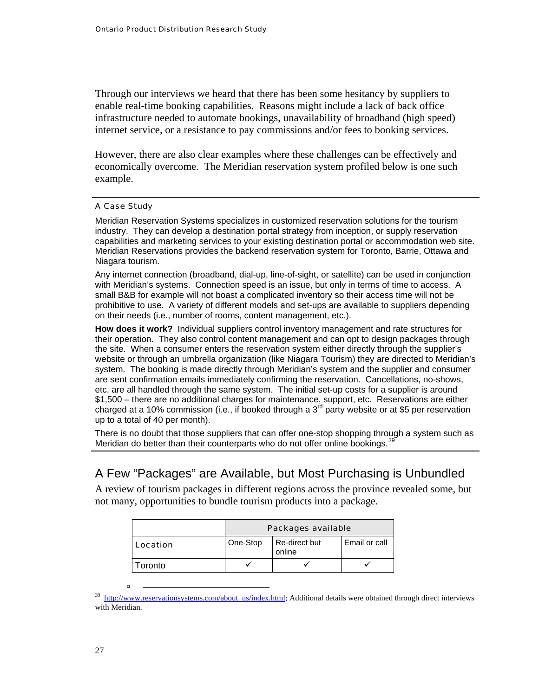<span id="page-29-0"></span>Through our interviews we heard that there has been some hesitancy by suppliers to enable real-time booking capabilities. Reasons might include a lack of back office infrastructure needed to automate bookings, unavailability of broadband (high speed) internet service, or a resistance to pay commissions and/or fees to booking services.

However, there are also clear examples where these challenges can be effectively and economically overcome. The Meridian reservation system profiled below is one such example.

#### A Case Study

Meridian Reservation Systems specializes in customized reservation solutions for the tourism industry. They can develop a destination portal strategy from inception, or supply reservation capabilities and marketing services to your existing destination portal or accommodation web site. Meridian Reservations provides the backend reservation system for Toronto, Barrie, Ottawa and Niagara tourism.

Any internet connection (broadband, dial-up, line-of-sight, or satellite) can be used in conjunction with Meridian's systems. Connection speed is an issue, but only in terms of time to access. A small B&B for example will not boast a complicated inventory so their access time will not be prohibitive to use. A variety of different models and set-ups are available to suppliers depending on their needs (i.e., number of rooms, content management, etc.).

**How does it work?** Individual suppliers control inventory management and rate structures for their operation. They also control content management and can opt to design packages through the site. When a consumer enters the reservation system either directly through the supplier's website or through an umbrella organization (like Niagara Tourism) they are directed to Meridian's system. The booking is made directly through Meridian's system and the supplier and consumer are sent confirmation emails immediately confirming the reservation. Cancellations, no-shows, etc. are all handled through the same system. The initial set-up costs for a supplier is around \$1,500 – there are no additional charges for maintenance, support, etc. Reservations are either charged at a 10% commission (i.e., if booked through a  $3<sup>rd</sup>$  party website or at \$5 per reservation up to a total of 40 per month).

There is no doubt that those suppliers that can offer one-stop shopping through a system such as Meridian do better than their counterparts who do not offer online bookings.<sup>3</sup>

#### A Few "Packages" are Available, but Most Purchasing is Unbundled

A review of tourism packages in different regions across the province revealed some, but not many, opportunities to bundle tourism products into a package.

|          | Packages available |                         |               |  |  |  |
|----------|--------------------|-------------------------|---------------|--|--|--|
| Location | One-Stop           | Re-direct but<br>online | Email or call |  |  |  |
| oronto   |                    |                         |               |  |  |  |

 $39$  [http://www.reservationsystems.com/about\\_us/index.html](http://www.reservationsystems.com/about_us/index.html); Additional details were obtained through direct interviews with Meridian.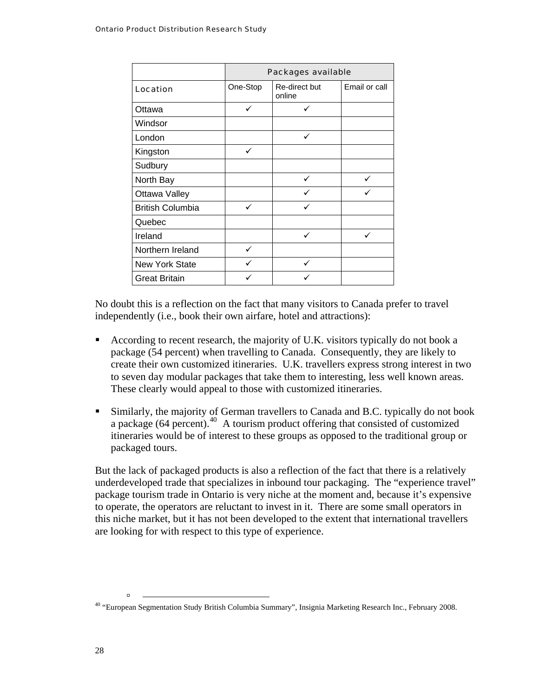<span id="page-30-0"></span>

|                         | Packages available |                         |               |  |  |  |  |
|-------------------------|--------------------|-------------------------|---------------|--|--|--|--|
| Location                | One-Stop           | Re-direct but<br>online | Email or call |  |  |  |  |
| Ottawa                  |                    |                         |               |  |  |  |  |
| Windsor                 |                    |                         |               |  |  |  |  |
| London                  |                    | $\checkmark$            |               |  |  |  |  |
| Kingston                | $\checkmark$       |                         |               |  |  |  |  |
| Sudbury                 |                    |                         |               |  |  |  |  |
| North Bay               |                    |                         |               |  |  |  |  |
| Ottawa Valley           |                    |                         |               |  |  |  |  |
| <b>British Columbia</b> | ✓                  | ✓                       |               |  |  |  |  |
| Quebec                  |                    |                         |               |  |  |  |  |
| Ireland                 |                    | $\checkmark$            | $\checkmark$  |  |  |  |  |
| Northern Ireland        | ✓                  |                         |               |  |  |  |  |
| <b>New York State</b>   |                    |                         |               |  |  |  |  |
| <b>Great Britain</b>    |                    |                         |               |  |  |  |  |

No doubt this is a reflection on the fact that many visitors to Canada prefer to travel independently (i.e., book their own airfare, hotel and attractions):

- According to recent research, the majority of U.K. visitors typically do not book a package (54 percent) when travelling to Canada. Consequently, they are likely to create their own customized itineraries. U.K. travellers express strong interest in two to seven day modular packages that take them to interesting, less well known areas. These clearly would appeal to those with customized itineraries.
- Similarly, the majority of German travellers to Canada and B.C. typically do not book a package (64 percent).<sup>[40](#page-30-0)</sup> A tourism product offering that consisted of customized itineraries would be of interest to these groups as opposed to the traditional group or packaged tours.

But the lack of packaged products is also a reflection of the fact that there is a relatively underdeveloped trade that specializes in inbound tour packaging. The "experience travel" package tourism trade in Ontario is very niche at the moment and, because it's expensive to operate, the operators are reluctant to invest in it. There are some small operators in this niche market, but it has not been developed to the extent that international travellers are looking for with respect to this type of experience.

<sup>40 &</sup>quot;European Segmentation Study British Columbia Summary", Insignia Marketing Research Inc., February 2008.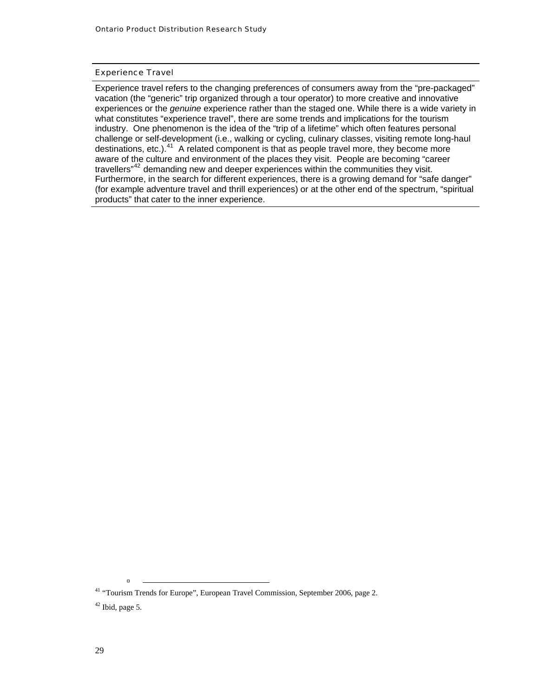#### <span id="page-31-0"></span>Experience Travel

Experience travel refers to the changing preferences of consumers away from the "pre-packaged" vacation (the "generic" trip organized through a tour operator) to more creative and innovative experiences or the *genuine* experience rather than the staged one. While there is a wide variety in what constitutes "experience travel", there are some trends and implications for the tourism industry. One phenomenon is the idea of the "trip of a lifetime" which often features personal challenge or self-development (i.e., walking or cycling, culinary classes, visiting remote long-haul destinations, etc.).<sup>[41](#page-31-0)</sup> A related component is that as people travel more, they become more aware of the culture and environment of the places they visit. People are becoming "career travellers<sup>"[42](#page-31-0)</sup> demanding new and deeper experiences within the communities they visit. Furthermore, in the search for different experiences, there is a growing demand for "safe danger" (for example adventure travel and thrill experiences) or at the other end of the spectrum, "spiritual products" that cater to the inner experience.

<sup>&</sup>lt;sup>41</sup> "Tourism Trends for Europe", European Travel Commission, September 2006, page 2.  $42$  Ibid, page 5.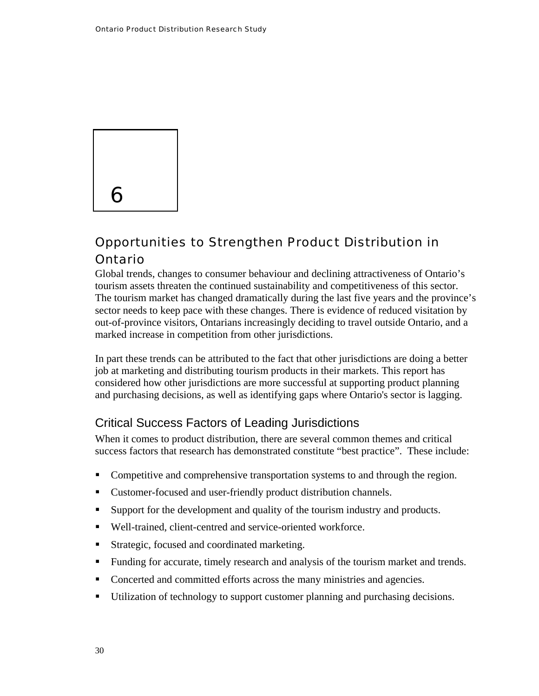<span id="page-32-0"></span>

### Opportunities to Strengthen Product Distribution in Ontario

Global trends, changes to consumer behaviour and declining attractiveness of Ontario's tourism assets threaten the continued sustainability and competitiveness of this sector. The tourism market has changed dramatically during the last five years and the province's sector needs to keep pace with these changes. There is evidence of reduced visitation by out-of-province visitors, Ontarians increasingly deciding to travel outside Ontario, and a marked increase in competition from other jurisdictions.

In part these trends can be attributed to the fact that other jurisdictions are doing a better job at marketing and distributing tourism products in their markets. This report has considered how other jurisdictions are more successful at supporting product planning and purchasing decisions, as well as identifying gaps where Ontario's sector is lagging.

#### Critical Success Factors of Leading Jurisdictions

When it comes to product distribution, there are several common themes and critical success factors that research has demonstrated constitute "best practice". These include:

- Competitive and comprehensive transportation systems to and through the region.
- Customer-focused and user-friendly product distribution channels.
- Support for the development and quality of the tourism industry and products.
- Well-trained, client-centred and service-oriented workforce.
- **Strategic, focused and coordinated marketing.**
- Funding for accurate, timely research and analysis of the tourism market and trends.
- Concerted and committed efforts across the many ministries and agencies.
- Utilization of technology to support customer planning and purchasing decisions.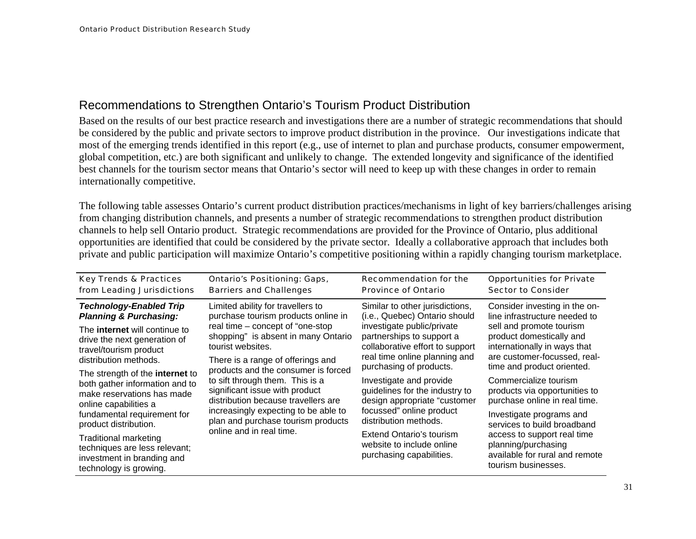#### Recommendations to Strengthen Ontario's Tourism Product Distribution

Based on the results of our best practice research and investigations there are a number of strategic recommendations that should be considered by the public and private sectors to improve product distribution in the province. Our investigations indicate that most of the emerging trends identified in this report (e.g., use of internet to plan and purchase products, consumer empowerment, global competition, etc.) are both significant and unlikely to change. The extended longevity and significance of the identified best channels for the tourism sector means that Ontario's sector will need to keep up with these changes in order to remain internationally competitive.

The following table assesses Ontario's current product distribution practices/mechanisms in light of key barriers/challenges arising from changing distribution channels, and presents a number of strategic recommendations to strengthen product distribution channels to help sell Ontario product. Strategic recommendations are provided for the Province of Ontario, plus additional opportunities are identified that could be considered by the private sector. Ideally a collaborative approach that includes both private and public participation will maximize Ontario's competitive positioning within a rapidly changing tourism marketplace.

<span id="page-33-0"></span>

| <b>Key Trends &amp; Practices</b><br>from Leading Jurisdictions                                                                                                | <b>Ontario's Positioning: Gaps,</b><br><b>Barriers and Challenges</b>                                                                                                                                                                                                                                                                                                                                                                                                      | <b>Recommendation for the</b><br><b>Province of Ontario</b>                                                                                                                                     | <b>Opportunities for Private</b><br><b>Sector to Consider</b>                                                                                                                          |                                                                                                                                                                                  |
|----------------------------------------------------------------------------------------------------------------------------------------------------------------|----------------------------------------------------------------------------------------------------------------------------------------------------------------------------------------------------------------------------------------------------------------------------------------------------------------------------------------------------------------------------------------------------------------------------------------------------------------------------|-------------------------------------------------------------------------------------------------------------------------------------------------------------------------------------------------|----------------------------------------------------------------------------------------------------------------------------------------------------------------------------------------|----------------------------------------------------------------------------------------------------------------------------------------------------------------------------------|
| <b>Technology-Enabled Trip</b><br><b>Planning &amp; Purchasing:</b>                                                                                            | Limited ability for travellers to<br>purchase tourism products online in<br>real time – concept of "one-stop<br>shopping" is absent in many Ontario<br>tourist websites.<br>There is a range of offerings and<br>products and the consumer is forced<br>to sift through them. This is a<br>significant issue with product<br>distribution because travellers are<br>increasingly expecting to be able to<br>plan and purchase tourism products<br>online and in real time. | Similar to other jurisdictions,<br>(i.e., Quebec) Ontario should<br>investigate public/private<br>partnerships to support a<br>collaborative effort to support<br>real time online planning and | Consider investing in the on-<br>line infrastructure needed to<br>sell and promote tourism<br>product domestically and<br>internationally in ways that<br>are customer-focussed, real- |                                                                                                                                                                                  |
| The <b>internet</b> will continue to<br>drive the next generation of<br>travel/tourism product<br>distribution methods.                                        |                                                                                                                                                                                                                                                                                                                                                                                                                                                                            |                                                                                                                                                                                                 |                                                                                                                                                                                        |                                                                                                                                                                                  |
| The strength of the <b>internet</b> to<br>both gather information and to<br>make reservations has made<br>online capabilities a<br>fundamental requirement for |                                                                                                                                                                                                                                                                                                                                                                                                                                                                            |                                                                                                                                                                                                 | purchasing of products.<br>Investigate and provide<br>guidelines for the industry to<br>design appropriate "customer<br>focussed" online product<br>distribution methods.              | time and product oriented.<br>Commercialize tourism<br>products via opportunities to<br>purchase online in real time.<br>Investigate programs and<br>services to build broadband |
| product distribution.<br><b>Traditional marketing</b><br>techniques are less relevant;<br>investment in branding and<br>technology is growing.                 |                                                                                                                                                                                                                                                                                                                                                                                                                                                                            | Extend Ontario's tourism<br>website to include online<br>purchasing capabilities.                                                                                                               | access to support real time<br>planning/purchasing<br>available for rural and remote<br>tourism businesses.                                                                            |                                                                                                                                                                                  |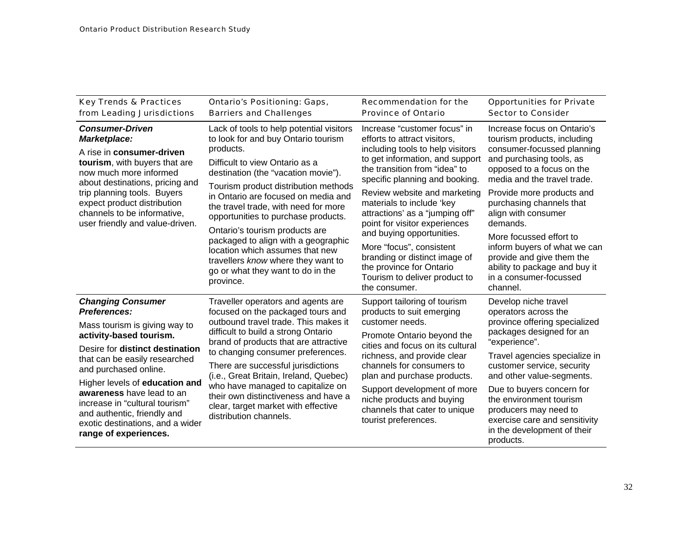| <b>Key Trends &amp; Practices</b><br>from Leading Jurisdictions                                                                                                                                  | <b>Ontario's Positioning: Gaps,</b><br><b>Barriers and Challenges</b>                                                                                                                                                                                                                                                                                                                                                                                              | <b>Recommendation for the</b><br><b>Province of Ontario</b>                                                                                                                                                                            | <b>Opportunities for Private</b><br><b>Sector to Consider</b>                                                                                                                                                 |  |
|--------------------------------------------------------------------------------------------------------------------------------------------------------------------------------------------------|--------------------------------------------------------------------------------------------------------------------------------------------------------------------------------------------------------------------------------------------------------------------------------------------------------------------------------------------------------------------------------------------------------------------------------------------------------------------|----------------------------------------------------------------------------------------------------------------------------------------------------------------------------------------------------------------------------------------|---------------------------------------------------------------------------------------------------------------------------------------------------------------------------------------------------------------|--|
| <b>Consumer-Driven</b><br>Marketplace:<br>A rise in consumer-driven<br>tourism, with buyers that are<br>now much more informed<br>about destinations, pricing and<br>trip planning tools. Buyers | Lack of tools to help potential visitors<br>to look for and buy Ontario tourism<br>products.<br>Difficult to view Ontario as a<br>destination (the "vacation movie").<br>Tourism product distribution methods                                                                                                                                                                                                                                                      | Increase "customer focus" in<br>efforts to attract visitors.<br>including tools to help visitors<br>to get information, and support<br>the transition from "idea" to<br>specific planning and booking.<br>Review website and marketing | Increase focus on Ontario's<br>tourism products, including<br>consumer-focussed planning<br>and purchasing tools, as<br>opposed to a focus on the<br>media and the travel trade.<br>Provide more products and |  |
| expect product distribution<br>channels to be informative,<br>user friendly and value-driven.                                                                                                    | in Ontario are focused on media and<br>the travel trade, with need for more<br>opportunities to purchase products.<br>Ontario's tourism products are                                                                                                                                                                                                                                                                                                               | materials to include 'key<br>attractions' as a "jumping off"<br>point for visitor experiences                                                                                                                                          | purchasing channels that<br>align with consumer<br>demands.                                                                                                                                                   |  |
|                                                                                                                                                                                                  | packaged to align with a geographic<br>location which assumes that new<br>travellers know where they want to<br>go or what they want to do in the<br>province.                                                                                                                                                                                                                                                                                                     | and buying opportunities.<br>More "focus", consistent<br>branding or distinct image of<br>the province for Ontario<br>Tourism to deliver product to<br>the consumer.                                                                   | More focussed effort to<br>inform buyers of what we can<br>provide and give them the<br>ability to package and buy it<br>in a consumer-focussed<br>channel.                                                   |  |
| <b>Changing Consumer</b><br><b>Preferences:</b>                                                                                                                                                  | Traveller operators and agents are<br>focused on the packaged tours and<br>outbound travel trade. This makes it<br>difficult to build a strong Ontario<br>brand of products that are attractive<br>to changing consumer preferences.<br>There are successful jurisdictions<br>(i.e., Great Britain, Ireland, Quebec)<br>who have managed to capitalize on<br>their own distinctiveness and have a<br>clear, target market with effective<br>distribution channels. | Support tailoring of tourism<br>products to suit emerging                                                                                                                                                                              | Develop niche travel<br>operators across the                                                                                                                                                                  |  |
| Mass tourism is giving way to<br>activity-based tourism.                                                                                                                                         |                                                                                                                                                                                                                                                                                                                                                                                                                                                                    | customer needs.<br>Promote Ontario beyond the                                                                                                                                                                                          | province offering specialized<br>packages designed for an<br>"experience".                                                                                                                                    |  |
| Desire for distinct destination<br>that can be easily researched<br>and purchased online.                                                                                                        |                                                                                                                                                                                                                                                                                                                                                                                                                                                                    | cities and focus on its cultural<br>richness, and provide clear<br>channels for consumers to<br>plan and purchase products.                                                                                                            | Travel agencies specialize in<br>customer service, security<br>and other value-segments.                                                                                                                      |  |
| Higher levels of education and<br>awareness have lead to an<br>increase in "cultural tourism"<br>and authentic, friendly and<br>exotic destinations, and a wider<br>range of experiences.        |                                                                                                                                                                                                                                                                                                                                                                                                                                                                    | Support development of more<br>niche products and buying<br>channels that cater to unique<br>tourist preferences.                                                                                                                      | Due to buyers concern for<br>the environment tourism<br>producers may need to<br>exercise care and sensitivity<br>in the development of their<br>products.                                                    |  |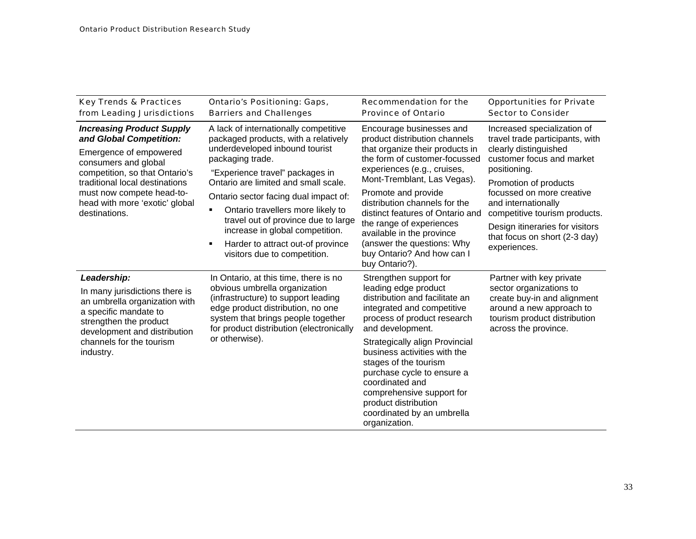| <b>Key Trends &amp; Practices</b><br>from Leading Jurisdictions                                                                                                                                                                                                   | <b>Ontario's Positioning: Gaps,</b><br><b>Barriers and Challenges</b>                                                                                                                                                                                                                                                                                                                                       | <b>Recommendation for the</b><br><b>Province of Ontario</b>                                                                                                                                                                                                                                                                                                                                                                    | <b>Opportunities for Private</b><br><b>Sector to Consider</b>                                                                                                                                                                                                                                                          |
|-------------------------------------------------------------------------------------------------------------------------------------------------------------------------------------------------------------------------------------------------------------------|-------------------------------------------------------------------------------------------------------------------------------------------------------------------------------------------------------------------------------------------------------------------------------------------------------------------------------------------------------------------------------------------------------------|--------------------------------------------------------------------------------------------------------------------------------------------------------------------------------------------------------------------------------------------------------------------------------------------------------------------------------------------------------------------------------------------------------------------------------|------------------------------------------------------------------------------------------------------------------------------------------------------------------------------------------------------------------------------------------------------------------------------------------------------------------------|
| <b>Increasing Product Supply</b><br>and Global Competition:<br>Emergence of empowered<br>consumers and global<br>competition, so that Ontario's<br>traditional local destinations<br>must now compete head-to-<br>head with more 'exotic' global<br>destinations. | A lack of internationally competitive<br>packaged products, with a relatively<br>underdeveloped inbound tourist<br>packaging trade.<br>"Experience travel" packages in<br>Ontario are limited and small scale.<br>Ontario sector facing dual impact of:<br>Ontario travellers more likely to<br>travel out of province due to large<br>increase in global competition.<br>Harder to attract out-of province | Encourage businesses and<br>product distribution channels<br>that organize their products in<br>the form of customer-focussed<br>experiences (e.g., cruises,<br>Mont-Tremblant, Las Vegas).<br>Promote and provide<br>distribution channels for the<br>distinct features of Ontario and<br>the range of experiences<br>available in the province<br>(answer the questions: Why<br>buy Ontario? And how can I<br>buy Ontario?). | Increased specialization of<br>travel trade participants, with<br>clearly distinguished<br>customer focus and market<br>positioning.<br>Promotion of products<br>focussed on more creative<br>and internationally<br>competitive tourism products.<br>Design itineraries for visitors<br>that focus on short (2-3 day) |
|                                                                                                                                                                                                                                                                   | visitors due to competition.                                                                                                                                                                                                                                                                                                                                                                                |                                                                                                                                                                                                                                                                                                                                                                                                                                | experiences.                                                                                                                                                                                                                                                                                                           |
| Leadership:<br>In many jurisdictions there is<br>an umbrella organization with<br>a specific mandate to<br>strengthen the product<br>development and distribution<br>channels for the tourism<br>industry.                                                        | In Ontario, at this time, there is no<br>obvious umbrella organization<br>(infrastructure) to support leading<br>edge product distribution, no one<br>system that brings people together<br>for product distribution (electronically<br>or otherwise).                                                                                                                                                      | Strengthen support for<br>leading edge product<br>distribution and facilitate an<br>integrated and competitive<br>process of product research<br>and development.<br>Strategically align Provincial<br>business activities with the                                                                                                                                                                                            | Partner with key private<br>sector organizations to<br>create buy-in and alignment<br>around a new approach to<br>tourism product distribution<br>across the province.                                                                                                                                                 |
|                                                                                                                                                                                                                                                                   |                                                                                                                                                                                                                                                                                                                                                                                                             | stages of the tourism<br>purchase cycle to ensure a<br>coordinated and<br>comprehensive support for<br>product distribution<br>coordinated by an umbrella<br>organization.                                                                                                                                                                                                                                                     |                                                                                                                                                                                                                                                                                                                        |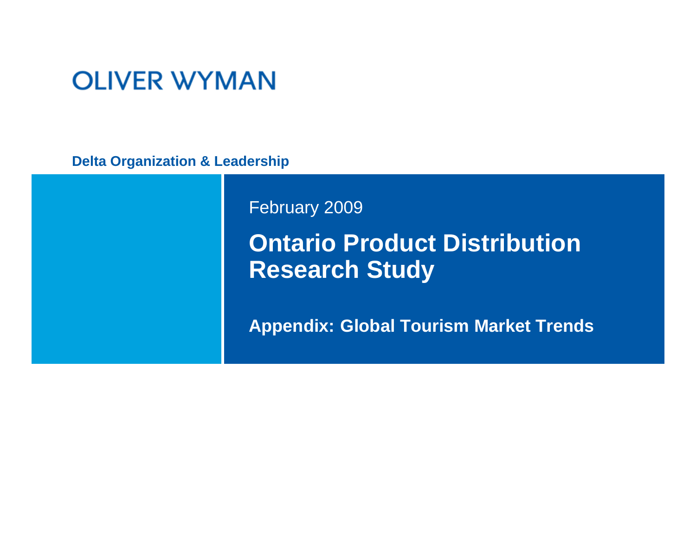# **OLIVER WYMAN**

**Delta Organization & Leadership**

February 2009

# **Ontario Product Distribution Research Study**

**Appendix: Global Tourism M arket Trends**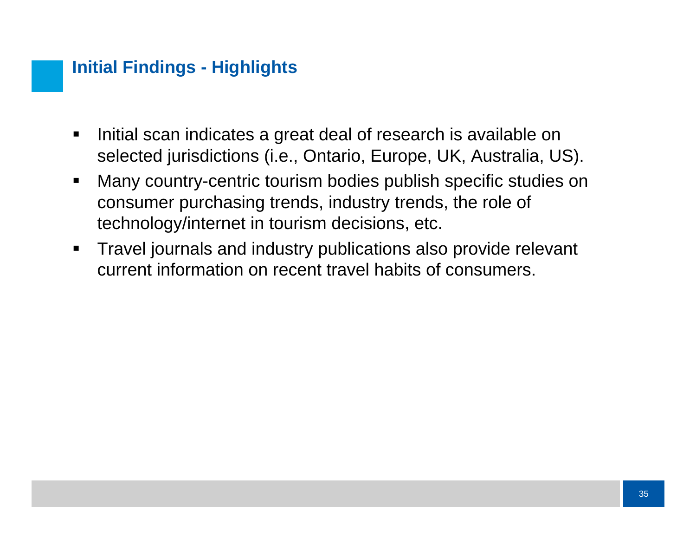## **Initial Findings - Highlights**

- $\blacksquare$  Initial scan indicates a great deal of research is available on selected jurisdictions (i.e., Ontario, Europe, UK, Australia, US).
- $\blacksquare$  Many country-centric tourism bodies publish specific studies on consumer purchasing trends, industry trends, the role of technology/internet in tourism decisions, etc.
- $\blacksquare$  Travel journals and industry publications also provide relevant current information on recent travel habits of consumers.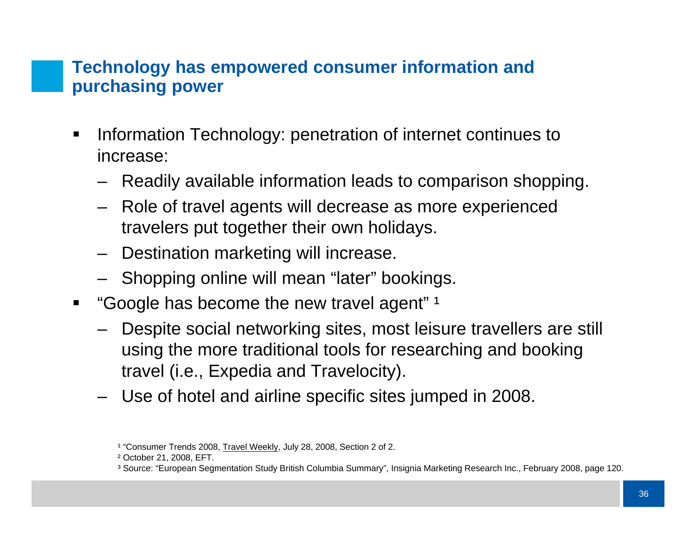### **Technology has empowered consumer information and purchasing power**

- $\blacksquare$  Information Technology: penetration of internet continues to increase:
	- Readily available information leads to comparison shopping.
	- Role of travel agents will decrease as more experienced travelers put together their own holidays.
	- –Destination marketing will increase.
	- Shopping online will mean "later" bookings.
- $\blacksquare$ "Google has become the new travel agent"  $1$ 
	- – Despite social networking sites, most leisure travellers are still using the more traditional tools for researching and booking travel (i.e., Expedia and Travelocity).
	- Use of hotel and airline specific sites jumped in 2008.

<sup>&</sup>lt;sup>1</sup> "Consumer Trends 2008, <u>Travel Weekly</u>, July 28, 2008, Section 2 of 2.

² October 21, 2008, EFT.

³ Source: "European Segmentation Study British Columbia Summary", Insignia Marketing Research Inc., February 2008, page 120.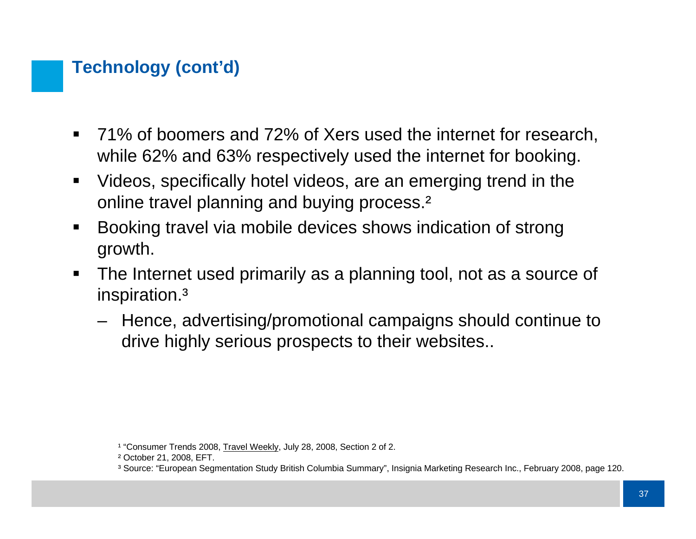## **Technology (cont'd)**

- $\blacksquare$  71% of boomers and 72% of Xers used the internet for research, while 62% and 63% respectively used the internet for booking.
- $\blacksquare$  Videos, specifically hotel videos, are an emerging trend in the online travel planning and buying process.<sup>2</sup>
- $\blacksquare$  Booking travel via mobile devices shows indication of strong growth.
- $\blacksquare$  The Internet used primarily as a planning tool, not as a source of inspiration.³
	- Hence, advertising/promotional campaigns should continue to drive highly serious prospects to their websites..

<sup>&</sup>lt;sup>1</sup> "Consumer Trends 2008, <u>Travel Weekly</u>, July 28, 2008, Section 2 of 2.

² October 21, 2008, EFT.

³ Source: "European Segmentation Study British Columbia Summary", Insignia Marketing Research Inc., February 2008, page 120.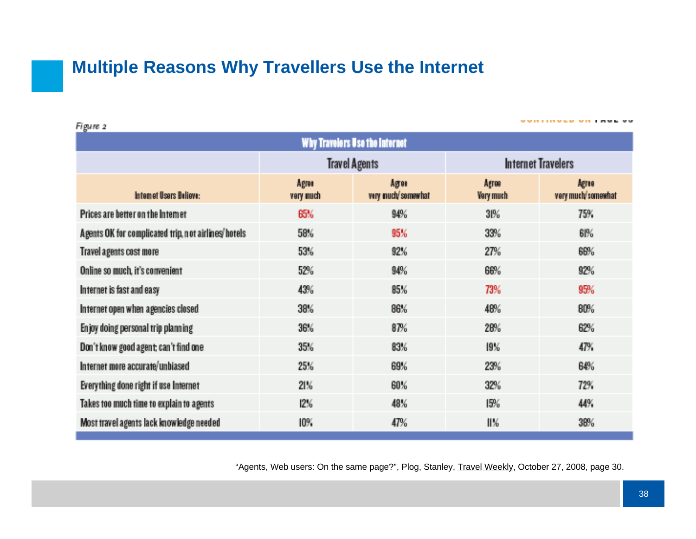### **Multiple Reasons Why Travellers Use the Internet**

Don't know good agent; can't find one

Figure 2 Why Travelers Use the Internet **Travel Agents Internet Travelers** Aeron **AFTER** Arres Agres. Internet Users Believe: very much/somewhat **Very much** very much/somewhat very much Prices are better on the Internet  $30%$ 75% **BSK** 94% Agents OK for complicated trip, not airlines/hotels 58% 95% 33% **GI96** Travel agents cost more 53% 92% 27% 66% Online so much, it's convenient 52% 94% 68% 92% Internet is fast and easy 43% 85% 73% 95% Internet open when agencies closed 38% 86% 48% 80% Enjoy doing personal trip planning 36% 87% 28% 62%

Internet more accurate/unbiased 25% **G9%** 23% **G4%** Everything done right if use Internet 21% 60% 32% 72% Takes too much time to explain to agents  $12%$ 48% 15% 44% Most travel agents lack knowledge needed 10% 47% H%. 38%

83%

35%

"Agents, Web users: On the same page?", Plog, Stanley, Travel Weekly, October 27, 2008, page 30.

19%

**VVRTINGER VRT ANE VV** 

47%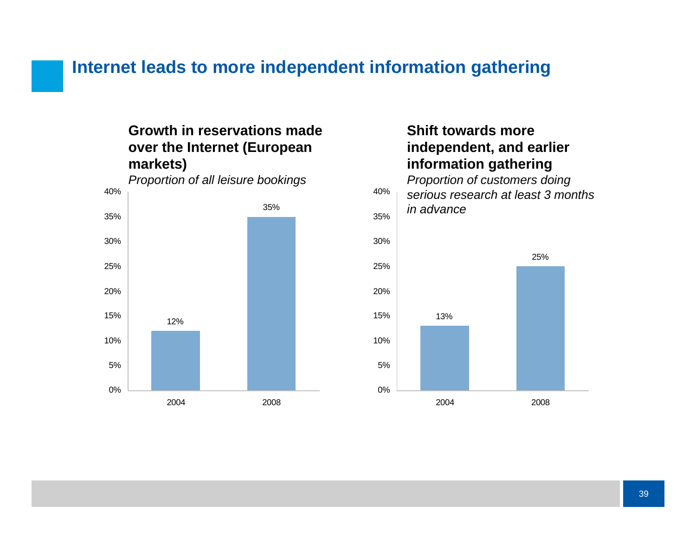### **Internet leads to more independent information gathering**

### **Growth in reservations made over the Internet (European markets)**

*Proportion of all leisure bookings*



### **Shift towards more independent, and earlier information gathering**

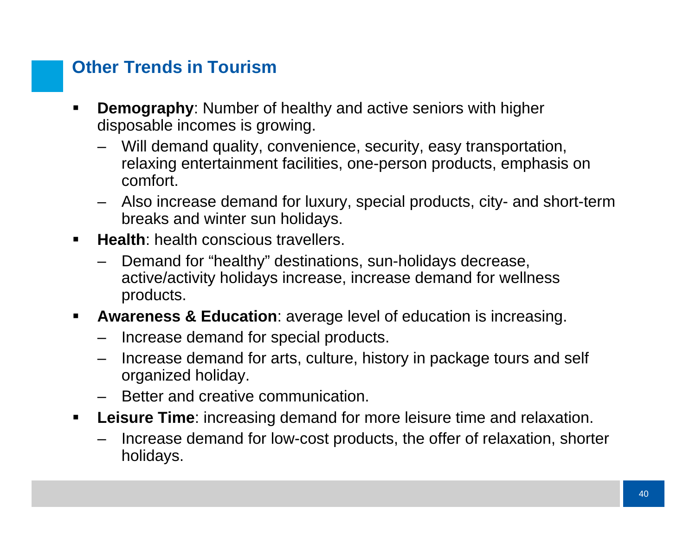## **Other Trends in Tourism**

- **Demography**: Number of healthy and active seniors with higher disposable incomes is growing.
	- Will demand quality, convenience, security, easy transportation, relaxing entertainment facilities, one-person products, emphasis on comfort.
	- Also increase demand for luxury, special products, city- and short-term breaks and winter sun holidays.
- $\blacksquare$  **Health**: health conscious travellers.
	- Demand for "healthy" destinations, sun-holidays decrease, active/activity holidays increase, increase demand for wellness products.
- $\blacksquare$  **Awareness & Education**: average level of education is increasing.
	- –Increase demand for special products.
	- – Increase demand for arts, culture, history in package tours and self organized holiday.
	- Better and creative communication.
- $\blacksquare$  **Leisure Time**: increasing demand for more leisure time and relaxation.
	- Increase demand for low-cost products, the offer of relaxation, shorter holidays.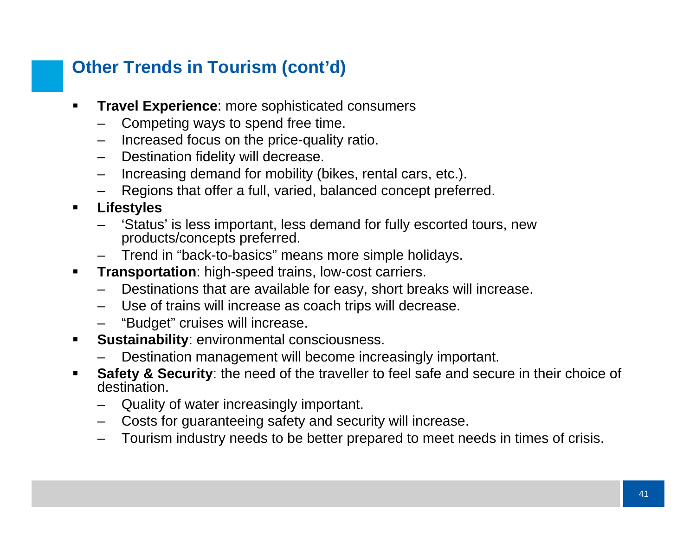# **Other Trends in Tourism (cont'd)**

- **Travel Experience**: more sophisticated consumers
	- –Competing ways to spend free time.
	- Increased focus on the price-quality ratio.
	- –Destination fidelity will decrease.
	- –Increasing demand for mobility (bikes, rental cars, etc.).
	- –Regions that offer a full, varied, balanced concept preferred.
- $\blacksquare$  **Lifestyles**
	- 'Status' is less important, less demand for fully escorted tours, new products/concepts preferred.
	- Trend in "back-to-basics" means more simple holidays.
- $\blacksquare$  **Transportation**: high-speed trains, low-cost carriers.
	- –Destinations that are available for easy, short breaks will increase.
	- Use of trains will increase as coach trips will decrease.
	- "Budget" cruises will increase.
- $\blacksquare$  **Sustainability**: environmental consciousness.
	- Destination management will become increasingly important.
- $\blacksquare$  **Safety & Security**: the need of the traveller to feel safe and secure in their choice of destination.
	- Quality of water increasingly important.
	- Costs for guaranteeing safety and security will increase.
	- Tourism industry needs to be better prepared to meet needs in times of crisis.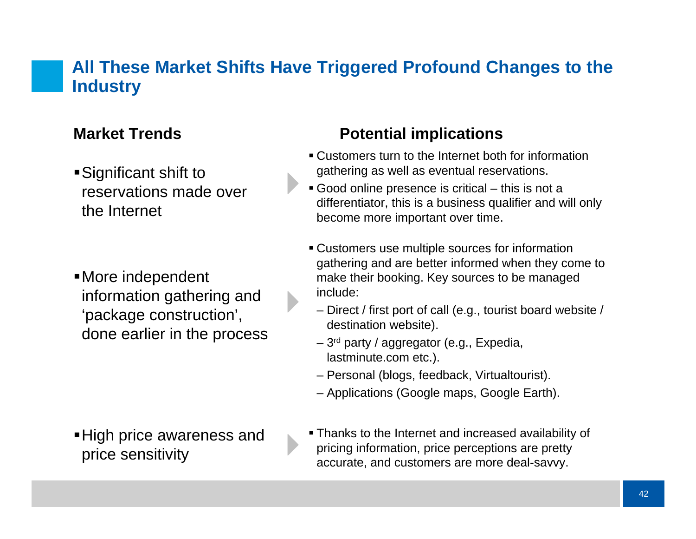### **All These Market Shifts Have Triggered Profound Changes to the Industry**

### **Market Trends**

Significant shift to reservations made over the Internet

More independent information gathering and 'package construction', done earlier in the process

High price awareness and price sensitivity

### **Potential implications**

- Customers turn to the Internet both for information gathering as well as eventual reservations.
- Good online presence is critical this is not a differentiator, this is a business qualifier and will only become more important over time.
- Customers use multiple sources for information gathering and are better informed when they come to make their booking. Key sources to be managed include:
- Direct / first port of call (e.g., tourist board website / destination website).
- 3rd party / aggregator (e.g., Expedia, lastminute.com etc.).
- Personal (blogs, feedback, Virtualtourist).
- Applications (Google maps, Google Earth).
- Thanks to the Internet and increased availability of pricing information, price perceptions are pretty accurate, and customers are more deal-savvy.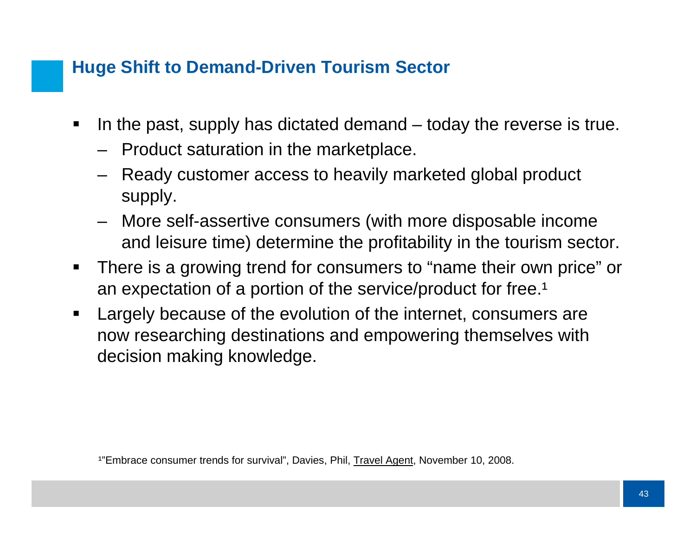### **Huge Shift to Demand-Driven Tourism Sector**

- $\blacksquare$  In the past, supply has dictated demand – today the reverse is true.
	- Product saturation in the marketplace.
	- Ready customer access to heavily marketed global product supply.
	- More self-assertive consumers (with more disposable income and leisure time) determine the profitability in the tourism sector.
- $\blacksquare$  There is a growing trend for consumers to "name their own price" or an expectation of a portion of the service/product for free.<sup>1</sup>
- $\blacksquare$  Largely because of the evolution of the internet, consumers are now researching destinations and empowering themselves with decision making knowledge.

<sup>1</sup>"Embrace consumer trends for survival", Davies, Phil, Travel Agent, November 10, 2008.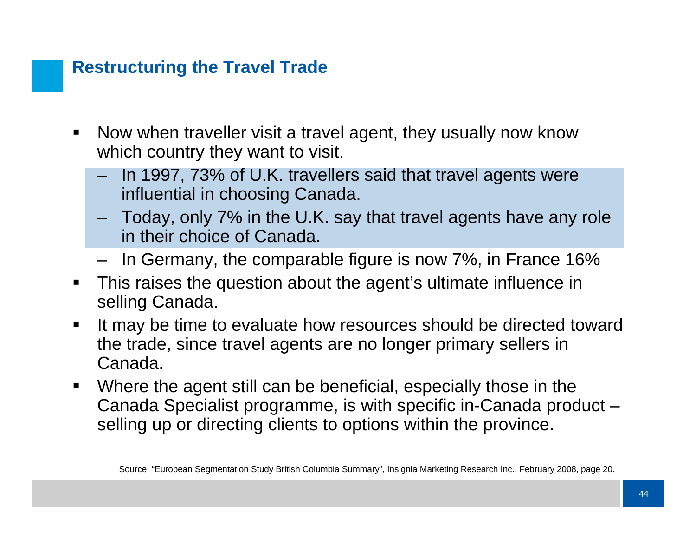### **Restructuring the Travel Trade**

- $\blacksquare$  Now when traveller visit a travel agent, they usually now know which country they want to visit.
	- In 1997, 73% of U.K. travellers said that travel agents were influential in choosing Canada.
	- Today, only 7% in the U.K. say that travel agents have any role in their choice of Canada.
	- In Germany, the comparable figure is now 7%, in France 16%
- $\blacksquare$  This raises the question about the agent's ultimate influence in selling Canada.
- $\blacksquare$  It may be time to evaluate how resources should be directed toward the trade, since travel agents are no longer primary sellers in Canada.
- $\blacksquare$  Where the agent still can be beneficial, especially those in the Canada Specialist programme, is with specific in-Canada product – selling up or directing clients to options within the province.